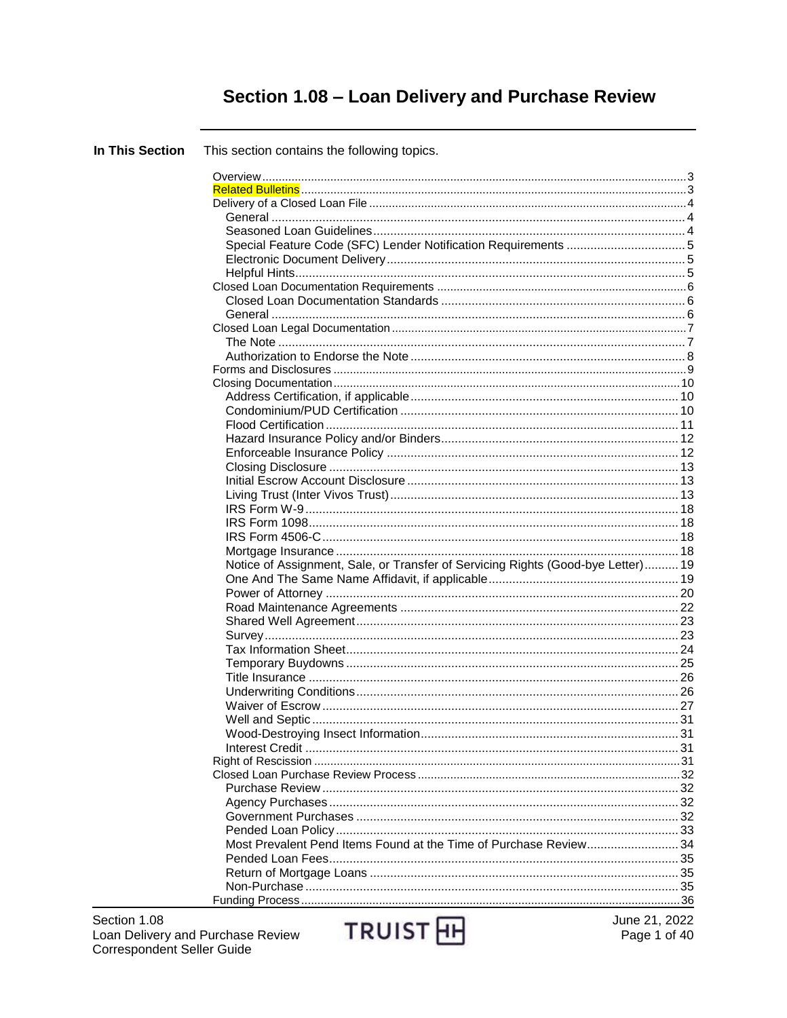# Section 1.08 - Loan Delivery and Purchase Review

**In This Section** This section contains the following topics. Notice of Assignment, Sale, or Transfer of Servicing Rights (Good-bye Letter).......... 19 Most Prevalent Pend Items Found at the Time of Purchase Review...........................34 

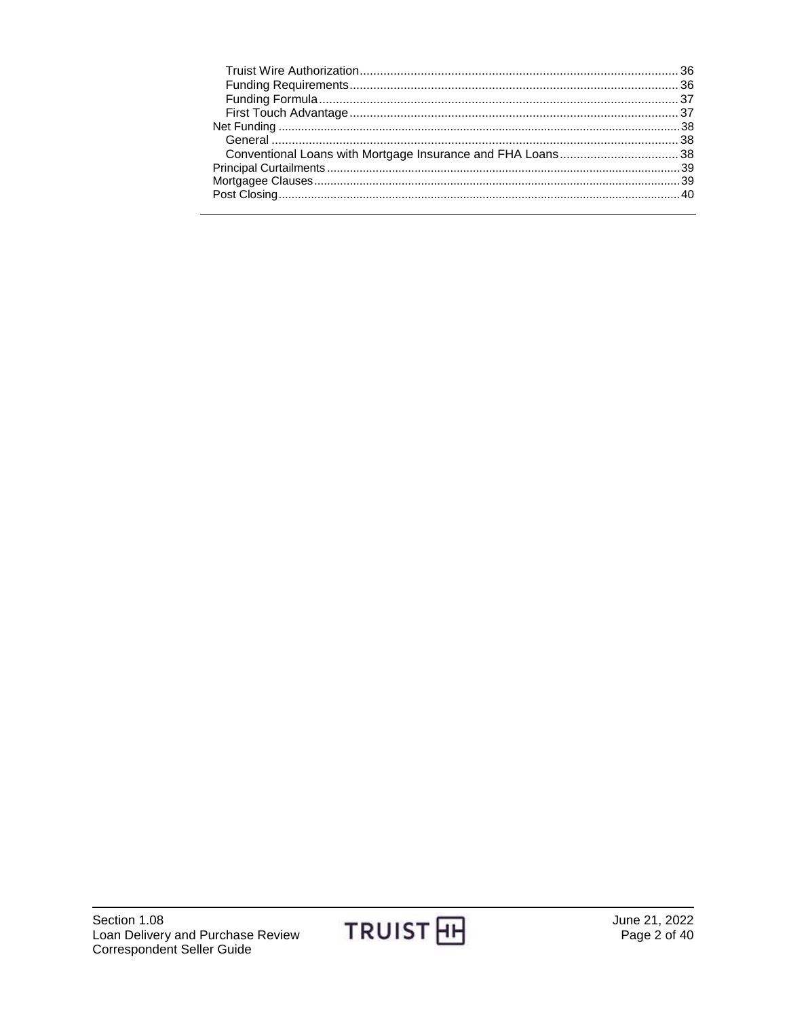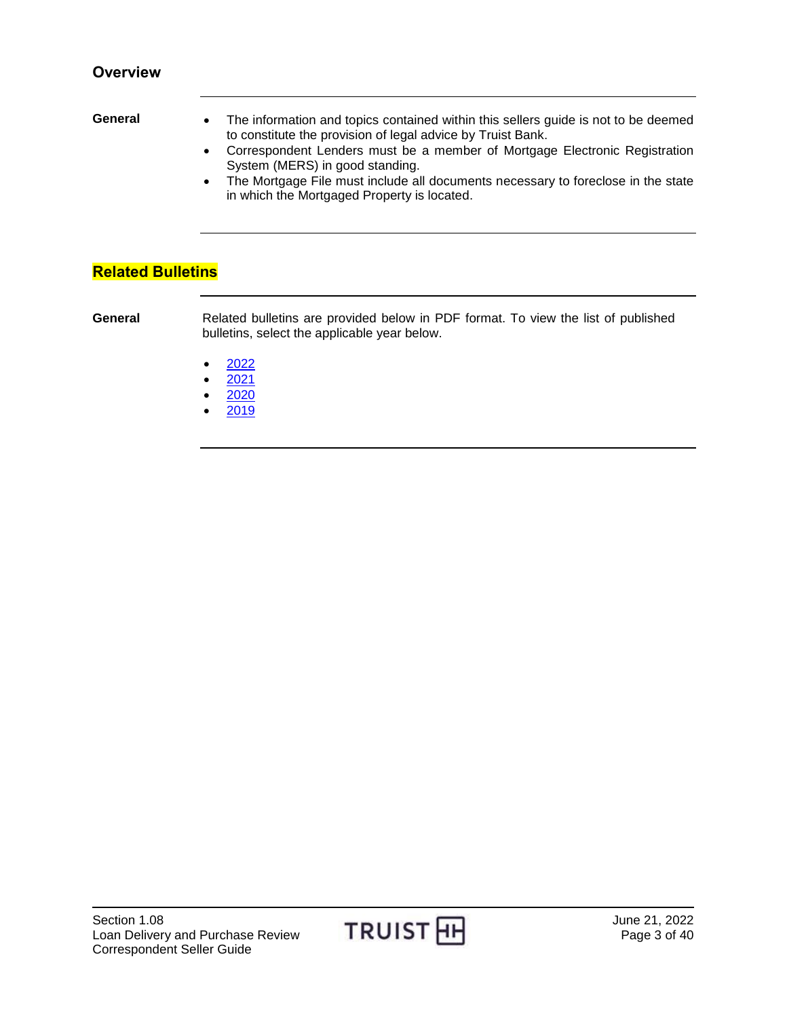## <span id="page-2-0"></span>**Overview**

- General The information and topics contained within this sellers guide is not to be deemed to constitute the provision of legal advice by Truist Bank.
	- Correspondent Lenders must be a member of Mortgage Electronic Registration System (MERS) in good standing.
	- The Mortgage File must include all documents necessary to foreclose in the state in which the Mortgaged Property is located.

## <span id="page-2-1"></span>**Related Bulletins**

**General** Related bulletins are provided below in PDF format. To view the list of published bulletins, select the applicable year below.

- $2022$  $2022$
- [2021](https://www.truistsellerguide.com/manual/cor/bulletins/related%20bulletins/2021/CLoanDel2021.pdf)
- [2020](https://www.truistsellerguide.com/manual/cor/bulletins/related%20bulletins/2020/CLoanDel2020.pdf)
- [2019](https://www.truistsellerguide.com/manual/cor/bulletins/related%20bulletins/2019/CLoanDel2019.pdf)

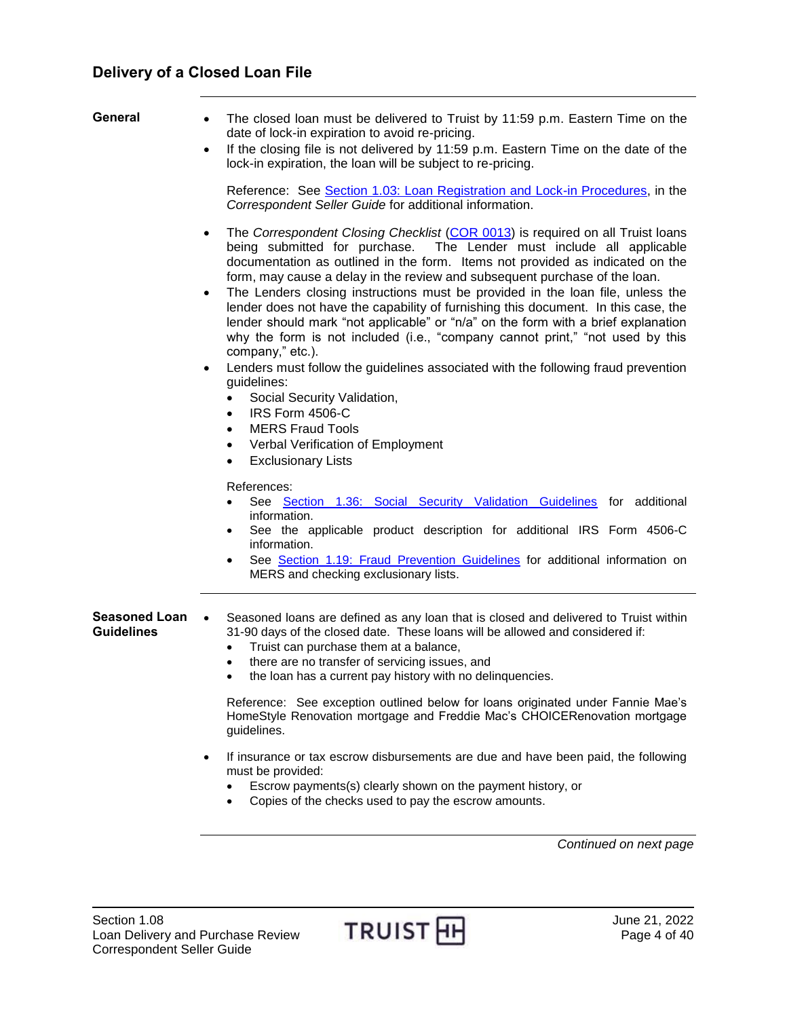## <span id="page-3-0"></span>**Delivery of a Closed Loan File**

<span id="page-3-1"></span>

| General                            | The closed loan must be delivered to Truist by 11:59 p.m. Eastern Time on the<br>$\bullet$<br>date of lock-in expiration to avoid re-pricing.<br>If the closing file is not delivered by 11:59 p.m. Eastern Time on the date of the<br>$\bullet$<br>lock-in expiration, the loan will be subject to re-pricing.                                                                                                                                                                                                                                                                                                                                                                                      |
|------------------------------------|------------------------------------------------------------------------------------------------------------------------------------------------------------------------------------------------------------------------------------------------------------------------------------------------------------------------------------------------------------------------------------------------------------------------------------------------------------------------------------------------------------------------------------------------------------------------------------------------------------------------------------------------------------------------------------------------------|
|                                    | Reference: See Section 1.03: Loan Registration and Lock-in Procedures, in the<br>Correspondent Seller Guide for additional information.                                                                                                                                                                                                                                                                                                                                                                                                                                                                                                                                                              |
|                                    | The Correspondent Closing Checklist (COR 0013) is required on all Truist loans<br>being submitted for purchase. The Lender must include all applicable<br>documentation as outlined in the form. Items not provided as indicated on the<br>form, may cause a delay in the review and subsequent purchase of the loan.<br>The Lenders closing instructions must be provided in the loan file, unless the<br>$\bullet$<br>lender does not have the capability of furnishing this document. In this case, the<br>lender should mark "not applicable" or "n/a" on the form with a brief explanation<br>why the form is not included (i.e., "company cannot print," "not used by this<br>company," etc.). |
|                                    | Lenders must follow the guidelines associated with the following fraud prevention<br>$\bullet$<br>guidelines:<br>Social Security Validation,<br>$\bullet$<br>IRS Form 4506-C<br>$\bullet$<br><b>MERS Fraud Tools</b><br>$\bullet$<br>Verbal Verification of Employment<br>$\bullet$<br><b>Exclusionary Lists</b><br>$\bullet$                                                                                                                                                                                                                                                                                                                                                                        |
|                                    | References:<br>See Section 1.36: Social Security Validation Guidelines for additional<br>$\bullet$<br>information.<br>See the applicable product description for additional IRS Form 4506-C<br>$\bullet$<br>information.<br>See Section 1.19: Fraud Prevention Guidelines for additional information on<br>$\bullet$<br>MERS and checking exclusionary lists.                                                                                                                                                                                                                                                                                                                                        |
| Seasoned Loan<br><b>Guidelines</b> | Seasoned loans are defined as any loan that is closed and delivered to Truist within<br>$\bullet$<br>31-90 days of the closed date. These loans will be allowed and considered if:<br>Truist can purchase them at a balance,<br>$\bullet$<br>there are no transfer of servicing issues, and<br>$\bullet$<br>the loan has a current pay history with no delinquencies.                                                                                                                                                                                                                                                                                                                                |
|                                    | Reference: See exception outlined below for loans originated under Fannie Mae's<br>HomeStyle Renovation mortgage and Freddie Mac's CHOICERenovation mortgage<br>guidelines.                                                                                                                                                                                                                                                                                                                                                                                                                                                                                                                          |
|                                    | If insurance or tax escrow disbursements are due and have been paid, the following<br>must be provided:<br>Escrow payments(s) clearly shown on the payment history, or<br>Copies of the checks used to pay the escrow amounts.                                                                                                                                                                                                                                                                                                                                                                                                                                                                       |
|                                    |                                                                                                                                                                                                                                                                                                                                                                                                                                                                                                                                                                                                                                                                                                      |

<span id="page-3-2"></span>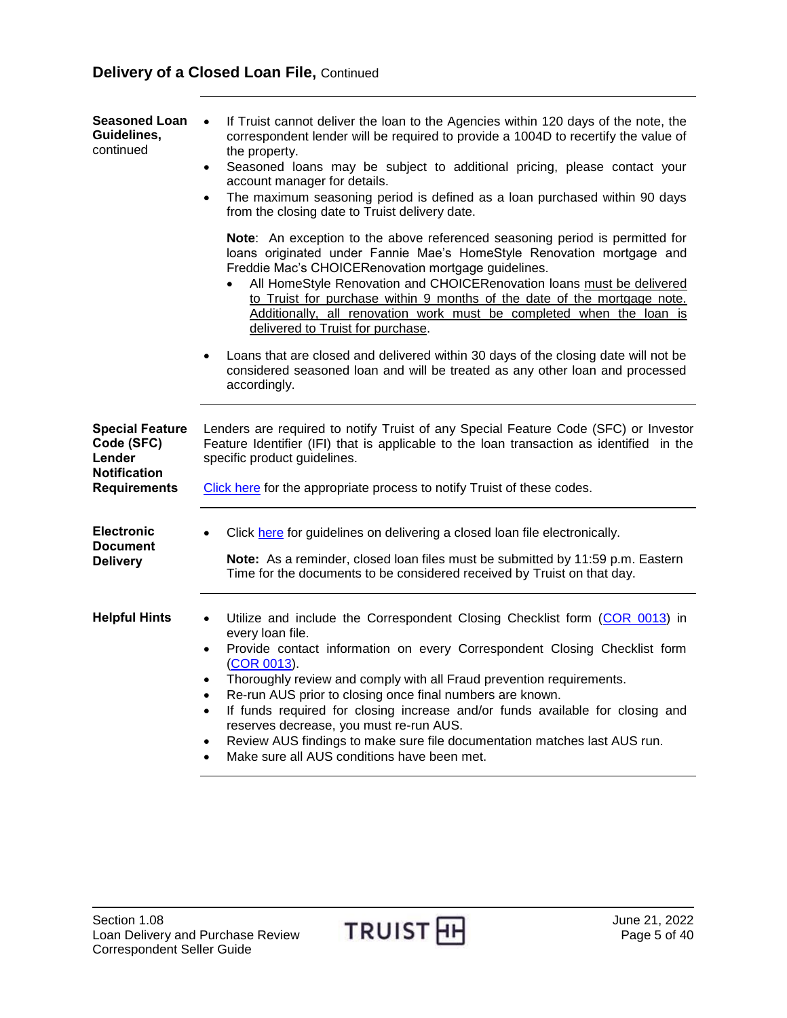<span id="page-4-1"></span><span id="page-4-0"></span>

| <b>Seasoned Loan</b><br>Guidelines,<br>continued                                             | If Truist cannot deliver the loan to the Agencies within 120 days of the note, the<br>correspondent lender will be required to provide a 1004D to recertify the value of<br>the property.<br>Seasoned loans may be subject to additional pricing, please contact your<br>$\bullet$<br>account manager for details.<br>The maximum seasoning period is defined as a loan purchased within 90 days<br>$\bullet$<br>from the closing date to Truist delivery date.                                                                                                                                                                                                            |
|----------------------------------------------------------------------------------------------|----------------------------------------------------------------------------------------------------------------------------------------------------------------------------------------------------------------------------------------------------------------------------------------------------------------------------------------------------------------------------------------------------------------------------------------------------------------------------------------------------------------------------------------------------------------------------------------------------------------------------------------------------------------------------|
|                                                                                              | Note: An exception to the above referenced seasoning period is permitted for<br>loans originated under Fannie Mae's HomeStyle Renovation mortgage and<br>Freddie Mac's CHOICERenovation mortgage guidelines.<br>All HomeStyle Renovation and CHOICERenovation loans must be delivered<br>to Truist for purchase within 9 months of the date of the mortgage note.<br>Additionally, all renovation work must be completed when the loan is<br>delivered to Truist for purchase.                                                                                                                                                                                             |
|                                                                                              | Loans that are closed and delivered within 30 days of the closing date will not be<br>considered seasoned loan and will be treated as any other loan and processed<br>accordingly.                                                                                                                                                                                                                                                                                                                                                                                                                                                                                         |
| <b>Special Feature</b><br>Code (SFC)<br>Lender<br><b>Notification</b><br><b>Requirements</b> | Lenders are required to notify Truist of any Special Feature Code (SFC) or Investor<br>Feature Identifier (IFI) that is applicable to the loan transaction as identified in the<br>specific product guidelines.<br>Click here for the appropriate process to notify Truist of these codes.                                                                                                                                                                                                                                                                                                                                                                                 |
| <b>Electronic</b><br><b>Document</b><br><b>Delivery</b>                                      | Click here for guidelines on delivering a closed loan file electronically.<br>Note: As a reminder, closed loan files must be submitted by 11:59 p.m. Eastern<br>Time for the documents to be considered received by Truist on that day.                                                                                                                                                                                                                                                                                                                                                                                                                                    |
| <b>Helpful Hints</b>                                                                         | Utilize and include the Correspondent Closing Checklist form (COR 0013) in<br>$\bullet$<br>every loan file.<br>Provide contact information on every Correspondent Closing Checklist form<br>$\bullet$<br>(COR 0013).<br>Thoroughly review and comply with all Fraud prevention requirements.<br>$\bullet$<br>Re-run AUS prior to closing once final numbers are known.<br>$\bullet$<br>If funds required for closing increase and/or funds available for closing and<br>$\bullet$<br>reserves decrease, you must re-run AUS.<br>Review AUS findings to make sure file documentation matches last AUS run.<br>٠<br>Make sure all AUS conditions have been met.<br>$\bullet$ |

<span id="page-4-2"></span>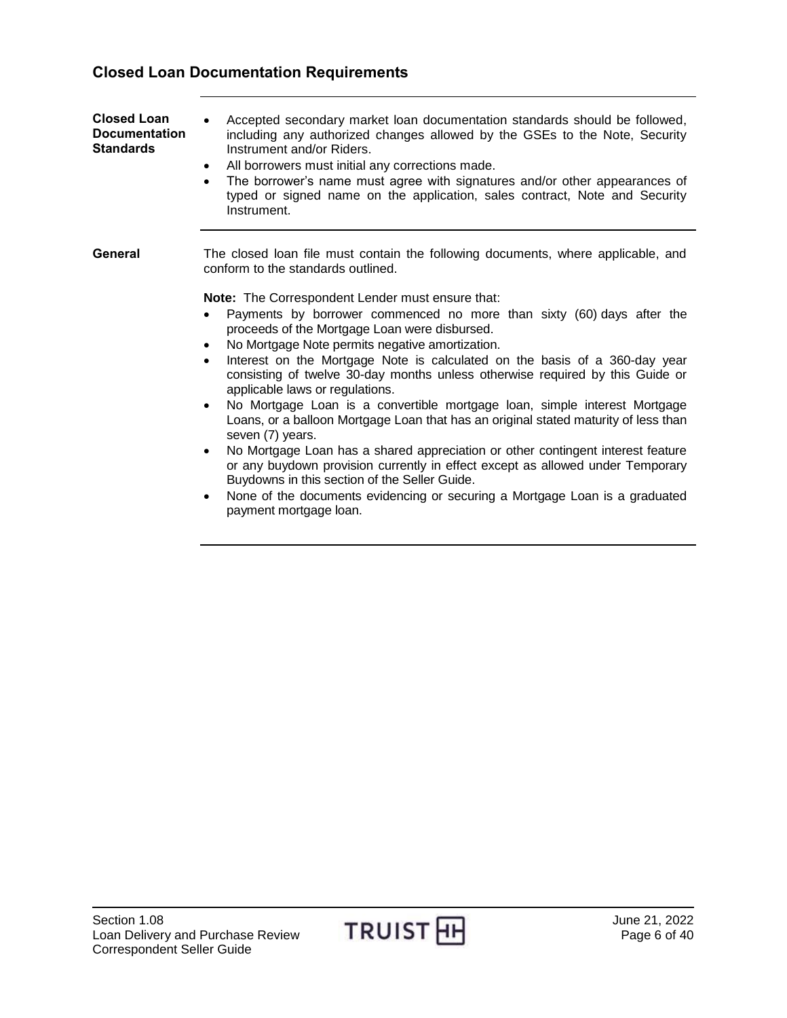## <span id="page-5-0"></span>**Closed Loan Documentation Requirements**

<span id="page-5-2"></span><span id="page-5-1"></span>

| <b>Closed Loan</b><br><b>Documentation</b><br><b>Standards</b> | Accepted secondary market loan documentation standards should be followed,<br>including any authorized changes allowed by the GSEs to the Note, Security<br>Instrument and/or Riders.<br>All borrowers must initial any corrections made.<br>$\bullet$<br>The borrower's name must agree with signatures and/or other appearances of<br>$\bullet$<br>typed or signed name on the application, sales contract, Note and Security<br>Instrument.                                                                                                                                                                                                                                                                                                                                                                                                                                                                                                                                                                                                                                                                                       |
|----------------------------------------------------------------|--------------------------------------------------------------------------------------------------------------------------------------------------------------------------------------------------------------------------------------------------------------------------------------------------------------------------------------------------------------------------------------------------------------------------------------------------------------------------------------------------------------------------------------------------------------------------------------------------------------------------------------------------------------------------------------------------------------------------------------------------------------------------------------------------------------------------------------------------------------------------------------------------------------------------------------------------------------------------------------------------------------------------------------------------------------------------------------------------------------------------------------|
| General                                                        | The closed loan file must contain the following documents, where applicable, and<br>conform to the standards outlined.<br>Note: The Correspondent Lender must ensure that:<br>Payments by borrower commenced no more than sixty (60) days after the<br>$\bullet$<br>proceeds of the Mortgage Loan were disbursed.<br>No Mortgage Note permits negative amortization.<br>$\bullet$<br>Interest on the Mortgage Note is calculated on the basis of a 360-day year<br>$\bullet$<br>consisting of twelve 30-day months unless otherwise required by this Guide or<br>applicable laws or regulations.<br>No Mortgage Loan is a convertible mortgage loan, simple interest Mortgage<br>$\bullet$<br>Loans, or a balloon Mortgage Loan that has an original stated maturity of less than<br>seven (7) years.<br>No Mortgage Loan has a shared appreciation or other contingent interest feature<br>$\bullet$<br>or any buydown provision currently in effect except as allowed under Temporary<br>Buydowns in this section of the Seller Guide.<br>None of the documents evidencing or securing a Mortgage Loan is a graduated<br>$\bullet$ |
|                                                                | payment mortgage loan.                                                                                                                                                                                                                                                                                                                                                                                                                                                                                                                                                                                                                                                                                                                                                                                                                                                                                                                                                                                                                                                                                                               |

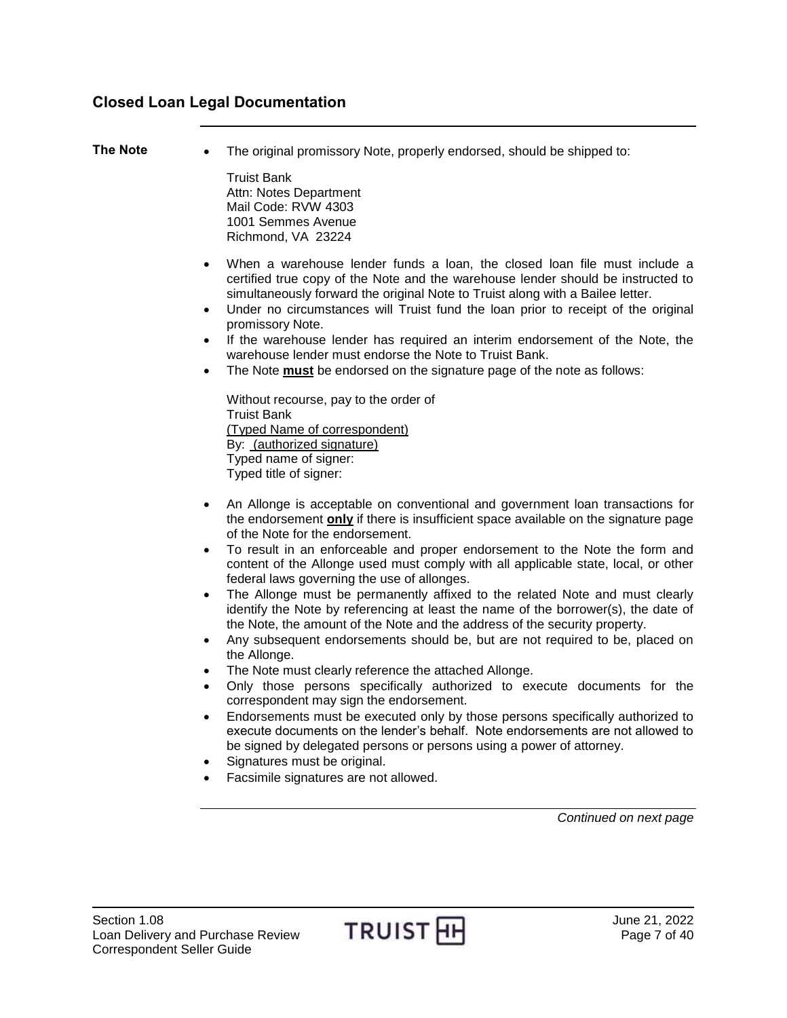## <span id="page-6-0"></span>**Closed Loan Legal Documentation**

<span id="page-6-1"></span>**The Note •** The original promissory Note, properly endorsed, should be shipped to:

Truist Bank Attn: Notes Department Mail Code: RVW 4303 1001 Semmes Avenue Richmond, VA 23224

- When a warehouse lender funds a loan, the closed loan file must include a certified true copy of the Note and the warehouse lender should be instructed to simultaneously forward the original Note to Truist along with a Bailee letter.
- Under no circumstances will Truist fund the loan prior to receipt of the original promissory Note.
- If the warehouse lender has required an interim endorsement of the Note, the warehouse lender must endorse the Note to Truist Bank.
- The Note **must** be endorsed on the signature page of the note as follows:

Without recourse, pay to the order of Truist Bank (Typed Name of correspondent) By: (authorized signature) Typed name of signer: Typed title of signer:

- An Allonge is acceptable on conventional and government loan transactions for the endorsement **only** if there is insufficient space available on the signature page of the Note for the endorsement.
- To result in an enforceable and proper endorsement to the Note the form and content of the Allonge used must comply with all applicable state, local, or other federal laws governing the use of allonges.
- The Allonge must be permanently affixed to the related Note and must clearly identify the Note by referencing at least the name of the borrower(s), the date of the Note, the amount of the Note and the address of the security property.
- Any subsequent endorsements should be, but are not required to be, placed on the Allonge.
- The Note must clearly reference the attached Allonge.
- Only those persons specifically authorized to execute documents for the correspondent may sign the endorsement.
- Endorsements must be executed only by those persons specifically authorized to execute documents on the lender's behalf. Note endorsements are not allowed to be signed by delegated persons or persons using a power of attorney.
- Signatures must be original.
- Facsimile signatures are not allowed.

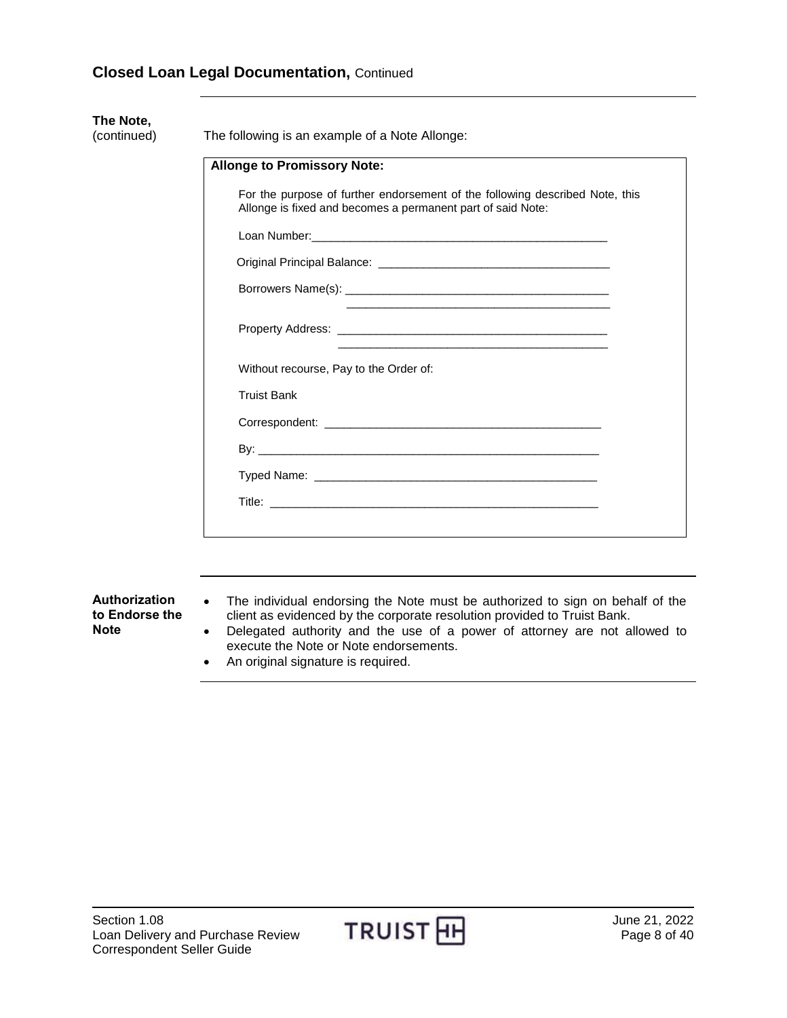## **Closed Loan Legal Documentation,** Continued

| <b>Allonge to Promissory Note:</b>                                                                                                          |
|---------------------------------------------------------------------------------------------------------------------------------------------|
| For the purpose of further endorsement of the following described Note, this<br>Allonge is fixed and becomes a permanent part of said Note: |
|                                                                                                                                             |
|                                                                                                                                             |
| <u> 1989 - Johann Stoff, amerikansk politiker (d. 1989)</u>                                                                                 |
|                                                                                                                                             |
| Without recourse, Pay to the Order of:                                                                                                      |
| <b>Truist Bank</b>                                                                                                                          |
|                                                                                                                                             |
|                                                                                                                                             |
|                                                                                                                                             |
|                                                                                                                                             |

<span id="page-7-0"></span>**Authorization to Endorse the Note**

- The individual endorsing the Note must be authorized to sign on behalf of the client as evidenced by the corporate resolution provided to Truist Bank.
- Delegated authority and the use of a power of attorney are not allowed to execute the Note or Note endorsements.
- An original signature is required.

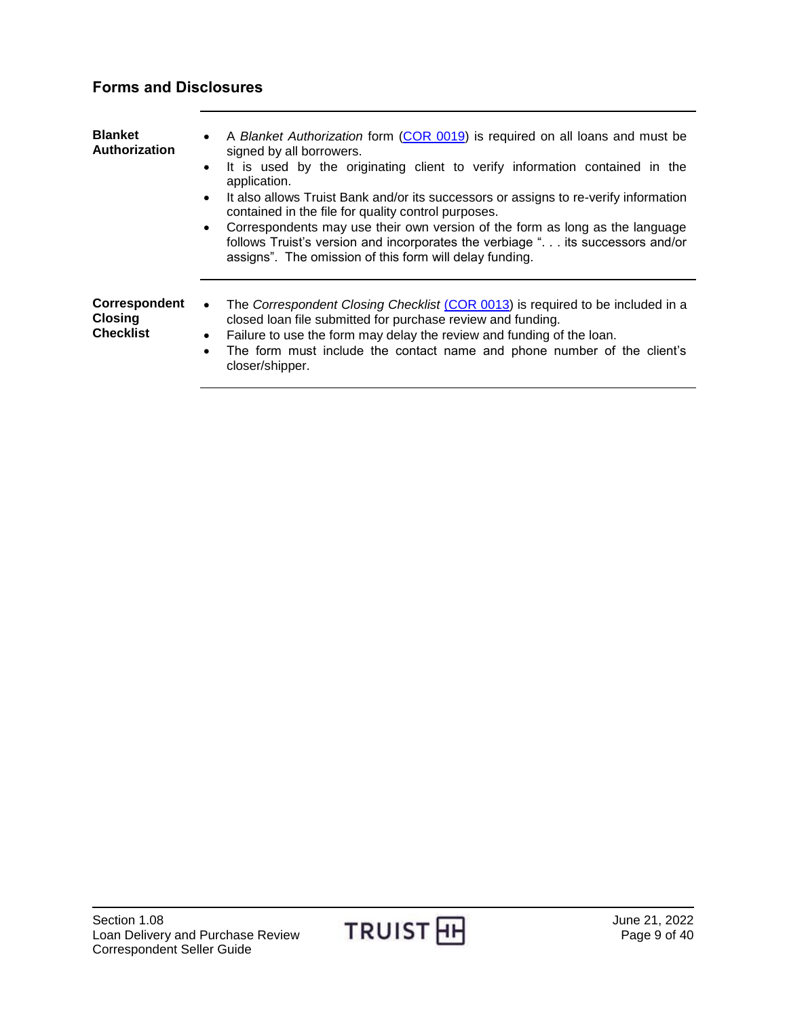## <span id="page-8-0"></span>**Forms and Disclosures**

| <b>Blanket</b><br><b>Authorization</b>              | A Blanket Authorization form (COR 0019) is required on all loans and must be<br>$\bullet$<br>signed by all borrowers.<br>It is used by the originating client to verify information contained in the<br>$\bullet$<br>application.<br>It also allows Truist Bank and/or its successors or assigns to re-verify information<br>$\bullet$<br>contained in the file for quality control purposes.<br>Correspondents may use their own version of the form as long as the language<br>$\bullet$<br>follows Truist's version and incorporates the verbiage ". its successors and/or<br>assigns". The omission of this form will delay funding. |
|-----------------------------------------------------|------------------------------------------------------------------------------------------------------------------------------------------------------------------------------------------------------------------------------------------------------------------------------------------------------------------------------------------------------------------------------------------------------------------------------------------------------------------------------------------------------------------------------------------------------------------------------------------------------------------------------------------|
| Correspondent<br><b>Closing</b><br><b>Checklist</b> | The Correspondent Closing Checklist (COR 0013) is required to be included in a<br>$\bullet$<br>closed loan file submitted for purchase review and funding.<br>Failure to use the form may delay the review and funding of the loan.<br>$\bullet$<br>The form must include the contact name and phone number of the client's<br>$\bullet$<br>closer/shipper.                                                                                                                                                                                                                                                                              |

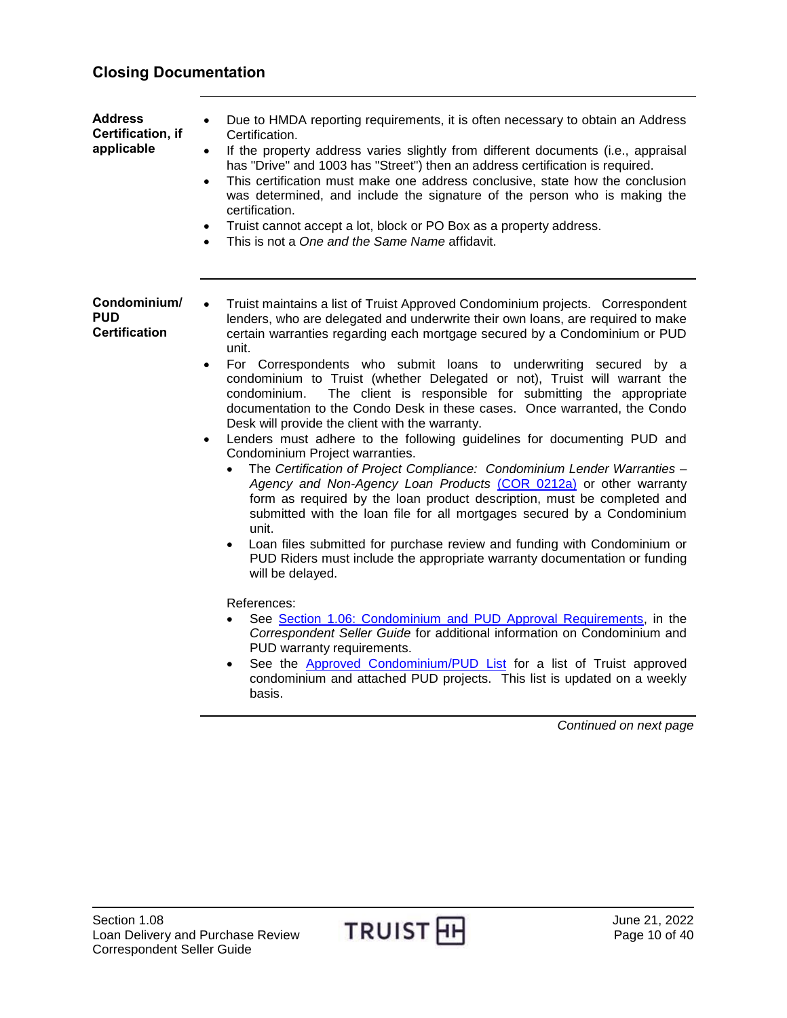# <span id="page-9-0"></span>**Closing Documentation**

<span id="page-9-2"></span><span id="page-9-1"></span>

| <b>Address</b><br>Certification, if<br>applicable  | Due to HMDA reporting requirements, it is often necessary to obtain an Address<br>$\bullet$<br>Certification.<br>If the property address varies slightly from different documents (i.e., appraisal<br>$\bullet$<br>has "Drive" and 1003 has "Street") then an address certification is required.<br>This certification must make one address conclusive, state how the conclusion<br>$\bullet$<br>was determined, and include the signature of the person who is making the<br>certification.<br>Truist cannot accept a lot, block or PO Box as a property address.<br>$\bullet$<br>This is not a One and the Same Name affidavit.<br>$\bullet$                                                                                                                                                                                                                                                                                                                                                                                                                                                                                                                                                                                                                                                                                                                                                                                                                                                                                                                                                                                                       |
|----------------------------------------------------|-------------------------------------------------------------------------------------------------------------------------------------------------------------------------------------------------------------------------------------------------------------------------------------------------------------------------------------------------------------------------------------------------------------------------------------------------------------------------------------------------------------------------------------------------------------------------------------------------------------------------------------------------------------------------------------------------------------------------------------------------------------------------------------------------------------------------------------------------------------------------------------------------------------------------------------------------------------------------------------------------------------------------------------------------------------------------------------------------------------------------------------------------------------------------------------------------------------------------------------------------------------------------------------------------------------------------------------------------------------------------------------------------------------------------------------------------------------------------------------------------------------------------------------------------------------------------------------------------------------------------------------------------------|
| Condominium/<br><b>PUD</b><br><b>Certification</b> | Truist maintains a list of Truist Approved Condominium projects. Correspondent<br>$\bullet$<br>lenders, who are delegated and underwrite their own loans, are required to make<br>certain warranties regarding each mortgage secured by a Condominium or PUD<br>unit.<br>For Correspondents who submit loans to underwriting secured by a<br>$\bullet$<br>condominium to Truist (whether Delegated or not), Truist will warrant the<br>The client is responsible for submitting the appropriate<br>condominium.<br>documentation to the Condo Desk in these cases. Once warranted, the Condo<br>Desk will provide the client with the warranty.<br>Lenders must adhere to the following guidelines for documenting PUD and<br>$\bullet$<br>Condominium Project warranties.<br>The Certification of Project Compliance: Condominium Lender Warranties -<br>Agency and Non-Agency Loan Products (COR 0212a) or other warranty<br>form as required by the loan product description, must be completed and<br>submitted with the loan file for all mortgages secured by a Condominium<br>unit.<br>Loan files submitted for purchase review and funding with Condominium or<br>٠<br>PUD Riders must include the appropriate warranty documentation or funding<br>will be delayed.<br>References:<br>See Section 1.06: Condominium and PUD Approval Requirements, in the<br>$\bullet$<br>Correspondent Seller Guide for additional information on Condominium and<br>PUD warranty requirements.<br>See the Approved Condominium/PUD List for a list of Truist approved<br>condominium and attached PUD projects. This list is updated on a weekly<br>basis. |

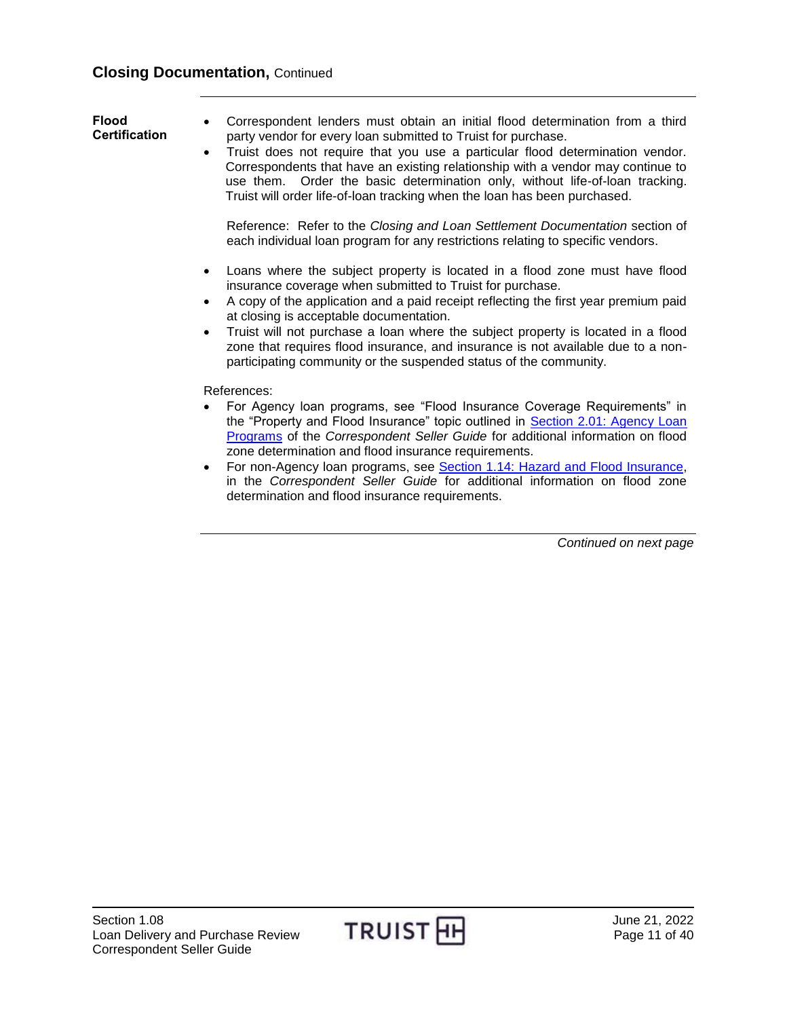<span id="page-10-0"></span>

| <b>Flood</b><br><b>Certification</b> | Correspondent lenders must obtain an initial flood determination from a third<br>party vendor for every loan submitted to Truist for purchase.<br>Truist does not require that you use a particular flood determination vendor.<br>$\bullet$<br>Correspondents that have an existing relationship with a vendor may continue to<br>use them. Order the basic determination only, without life-of-loan tracking.<br>Truist will order life-of-loan tracking when the loan has been purchased.<br>Reference: Refer to the Closing and Loan Settlement Documentation section of |
|--------------------------------------|------------------------------------------------------------------------------------------------------------------------------------------------------------------------------------------------------------------------------------------------------------------------------------------------------------------------------------------------------------------------------------------------------------------------------------------------------------------------------------------------------------------------------------------------------------------------------|
|                                      | each individual loan program for any restrictions relating to specific vendors.                                                                                                                                                                                                                                                                                                                                                                                                                                                                                              |
|                                      | Loans where the subject property is located in a flood zone must have flood<br>insurance coverage when submitted to Truist for purchase.<br>A copy of the application and a paid receipt reflecting the first year premium paid<br>$\bullet$<br>at closing is acceptable documentation.<br>Truist will not purchase a loan where the subject property is located in a flood<br>zone that requires flood insurance, and insurance is not available due to a non-<br>participating community or the suspended status of the community.                                         |
|                                      | References:<br>For Agency loan programs, see "Flood Insurance Coverage Requirements" in<br>the "Property and Flood Insurance" topic outlined in <b>Section 2.01: Agency Loan</b><br>Programs of the Correspondent Seller Guide for additional information on flood<br>zone determination and flood insurance requirements.<br>For non-Agency loan programs, see Section 1.14: Hazard and Flood Insurance,<br>$\bullet$<br>in the Correspondent Seller Guide for additional information on flood zone<br>determination and flood insurance requirements.                      |

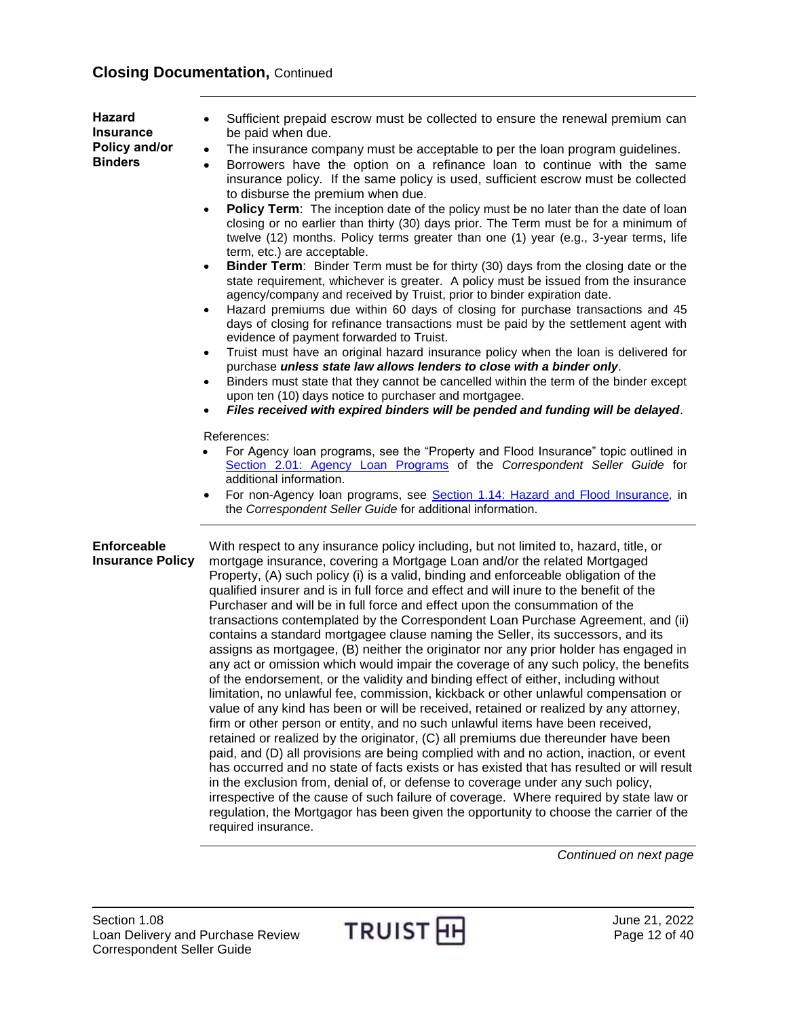## **Closing Documentation,** Continued

<span id="page-11-1"></span><span id="page-11-0"></span>

| <b>Hazard</b><br><b>Insurance</b><br>Policy and/or<br><b>Binders</b> | Sufficient prepaid escrow must be collected to ensure the renewal premium can<br>be paid when due.<br>The insurance company must be acceptable to per the loan program guidelines.<br>$\bullet$<br>Borrowers have the option on a refinance loan to continue with the same<br>$\bullet$<br>insurance policy. If the same policy is used, sufficient escrow must be collected<br>to disburse the premium when due.<br>Policy Term: The inception date of the policy must be no later than the date of loan<br>$\bullet$<br>closing or no earlier than thirty (30) days prior. The Term must be for a minimum of<br>twelve (12) months. Policy terms greater than one (1) year (e.g., 3-year terms, life<br>term, etc.) are acceptable.<br><b>Binder Term:</b> Binder Term must be for thirty (30) days from the closing date or the<br>$\bullet$<br>state requirement, whichever is greater. A policy must be issued from the insurance<br>agency/company and received by Truist, prior to binder expiration date.<br>Hazard premiums due within 60 days of closing for purchase transactions and 45<br>$\bullet$<br>days of closing for refinance transactions must be paid by the settlement agent with<br>evidence of payment forwarded to Truist.<br>Truist must have an original hazard insurance policy when the loan is delivered for<br>$\bullet$<br>purchase unless state law allows lenders to close with a binder only.<br>Binders must state that they cannot be cancelled within the term of the binder except<br>٠<br>upon ten (10) days notice to purchaser and mortgagee.<br>Files received with expired binders will be pended and funding will be delayed.<br>$\bullet$<br>References:                    |
|----------------------------------------------------------------------|----------------------------------------------------------------------------------------------------------------------------------------------------------------------------------------------------------------------------------------------------------------------------------------------------------------------------------------------------------------------------------------------------------------------------------------------------------------------------------------------------------------------------------------------------------------------------------------------------------------------------------------------------------------------------------------------------------------------------------------------------------------------------------------------------------------------------------------------------------------------------------------------------------------------------------------------------------------------------------------------------------------------------------------------------------------------------------------------------------------------------------------------------------------------------------------------------------------------------------------------------------------------------------------------------------------------------------------------------------------------------------------------------------------------------------------------------------------------------------------------------------------------------------------------------------------------------------------------------------------------------------------------------------------------------------------------------------------------------|
|                                                                      | For Agency loan programs, see the "Property and Flood Insurance" topic outlined in<br>Section 2.01: Agency Loan Programs of the Correspondent Seller Guide for<br>additional information.<br>For non-Agency loan programs, see Section 1.14: Hazard and Flood Insurance, in<br>$\bullet$<br>the Correspondent Seller Guide for additional information.                                                                                                                                                                                                                                                                                                                                                                                                                                                                                                                                                                                                                                                                                                                                                                                                                                                                                                                                                                                                                                                                                                                                                                                                                                                                                                                                                                     |
| <b>Enforceable</b><br><b>Insurance Policy</b>                        | With respect to any insurance policy including, but not limited to, hazard, title, or<br>mortgage insurance, covering a Mortgage Loan and/or the related Mortgaged<br>Property, (A) such policy (i) is a valid, binding and enforceable obligation of the<br>qualified insurer and is in full force and effect and will inure to the benefit of the<br>Purchaser and will be in full force and effect upon the consummation of the<br>transactions contemplated by the Correspondent Loan Purchase Agreement, and (ii)<br>contains a standard mortgagee clause naming the Seller, its successors, and its<br>assigns as mortgagee, (B) neither the originator nor any prior holder has engaged in<br>any act or omission which would impair the coverage of any such policy, the benefits<br>of the endorsement, or the validity and binding effect of either, including without<br>limitation, no unlawful fee, commission, kickback or other unlawful compensation or<br>value of any kind has been or will be received, retained or realized by any attorney,<br>firm or other person or entity, and no such unlawful items have been received,<br>retained or realized by the originator, (C) all premiums due thereunder have been<br>paid, and (D) all provisions are being complied with and no action, inaction, or event<br>has occurred and no state of facts exists or has existed that has resulted or will result<br>in the exclusion from, denial of, or defense to coverage under any such policy,<br>irrespective of the cause of such failure of coverage. Where required by state law or<br>regulation, the Mortgagor has been given the opportunity to choose the carrier of the<br>required insurance. |

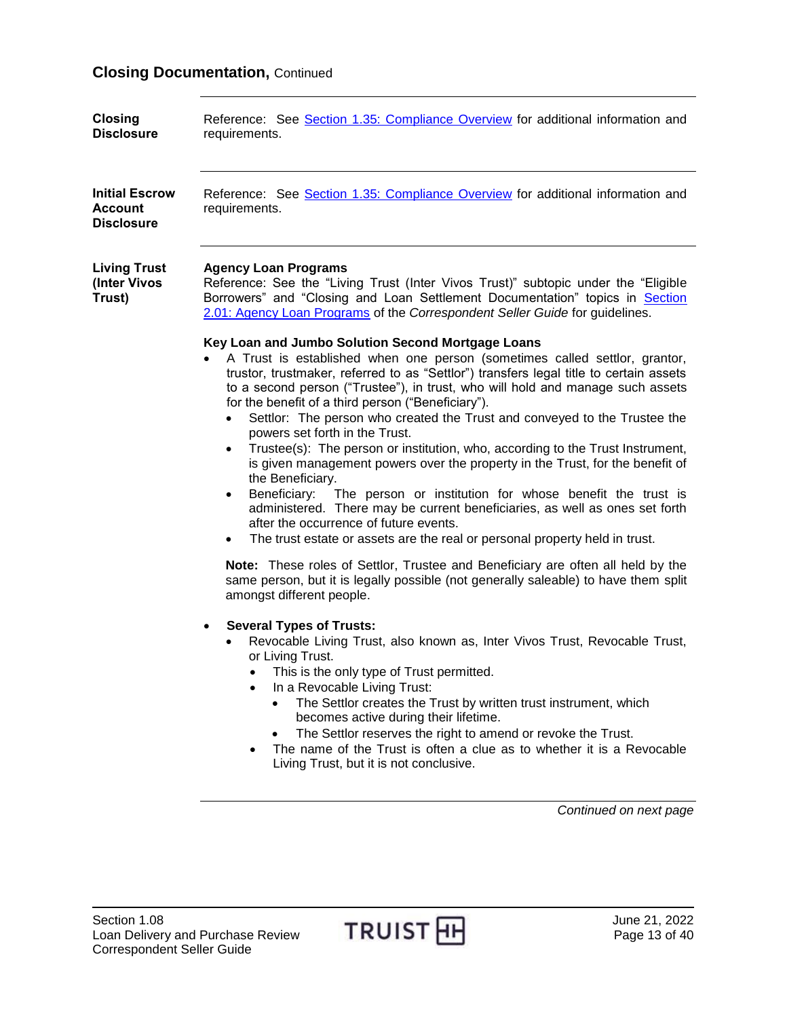## **Closing Documentation,** Continued

<span id="page-12-2"></span><span id="page-12-1"></span><span id="page-12-0"></span>

| <b>Closing</b><br><b>Disclosure</b>                          | Reference: See Section 1.35: Compliance Overview for additional information and<br>requirements.                                                                                                                                                                                                                                                                                                                                                                                                                                          |
|--------------------------------------------------------------|-------------------------------------------------------------------------------------------------------------------------------------------------------------------------------------------------------------------------------------------------------------------------------------------------------------------------------------------------------------------------------------------------------------------------------------------------------------------------------------------------------------------------------------------|
| <b>Initial Escrow</b><br><b>Account</b><br><b>Disclosure</b> | Reference: See Section 1.35: Compliance Overview for additional information and<br>requirements.                                                                                                                                                                                                                                                                                                                                                                                                                                          |
| <b>Living Trust</b><br>(Inter Vivos<br>Trust)                | <b>Agency Loan Programs</b><br>Reference: See the "Living Trust (Inter Vivos Trust)" subtopic under the "Eligible<br>Borrowers" and "Closing and Loan Settlement Documentation" topics in Section<br>2.01: Agency Loan Programs of the Correspondent Seller Guide for guidelines.                                                                                                                                                                                                                                                         |
|                                                              | Key Loan and Jumbo Solution Second Mortgage Loans<br>A Trust is established when one person (sometimes called settlor, grantor,<br>trustor, trustmaker, referred to as "Settlor") transfers legal title to certain assets<br>to a second person ("Trustee"), in trust, who will hold and manage such assets<br>for the benefit of a third person ("Beneficiary").<br>Settlor: The person who created the Trust and conveyed to the Trustee the<br>$\bullet$<br>powers set forth in the Trust.                                             |
|                                                              | Trustee(s): The person or institution, who, according to the Trust Instrument,<br>$\bullet$<br>is given management powers over the property in the Trust, for the benefit of<br>the Beneficiary.<br>The person or institution for whose benefit the trust is<br>Beneficiary:<br>$\bullet$<br>administered. There may be current beneficiaries, as well as ones set forth<br>after the occurrence of future events.                                                                                                                        |
|                                                              | The trust estate or assets are the real or personal property held in trust.<br>Note: These roles of Settlor, Trustee and Beneficiary are often all held by the<br>same person, but it is legally possible (not generally saleable) to have them split<br>amongst different people.                                                                                                                                                                                                                                                        |
|                                                              | <b>Several Types of Trusts:</b><br>$\bullet$<br>Revocable Living Trust, also known as, Inter Vivos Trust, Revocable Trust,<br>$\bullet$<br>or Living Trust.<br>This is the only type of Trust permitted.<br>In a Revocable Living Trust:<br>The Settlor creates the Trust by written trust instrument, which<br>becomes active during their lifetime.<br>The Settlor reserves the right to amend or revoke the Trust.<br>The name of the Trust is often a clue as to whether it is a Revocable<br>Living Trust, but it is not conclusive. |
|                                                              | Continued on next page                                                                                                                                                                                                                                                                                                                                                                                                                                                                                                                    |

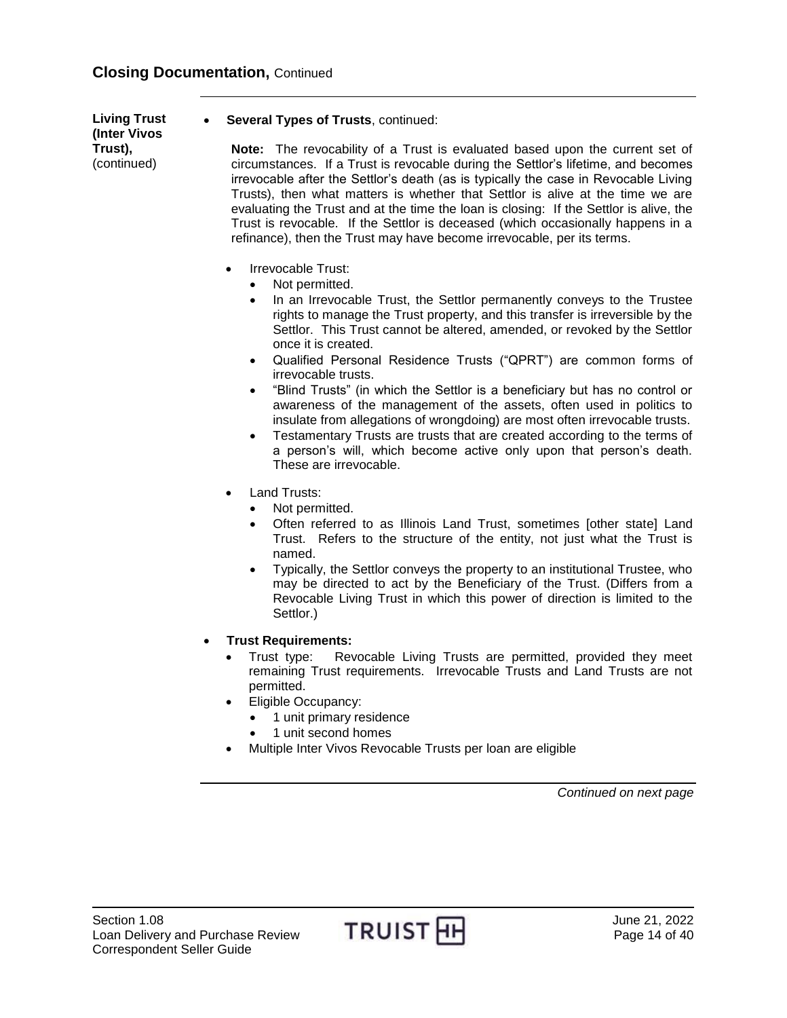**Living Trust (Inter Vivos Trust),**  (continued)

### **Several Types of Trusts**, continued:

**Note:** The revocability of a Trust is evaluated based upon the current set of circumstances. If a Trust is revocable during the Settlor's lifetime, and becomes irrevocable after the Settlor's death (as is typically the case in Revocable Living Trusts), then what matters is whether that Settlor is alive at the time we are evaluating the Trust and at the time the loan is closing: If the Settlor is alive, the Trust is revocable. If the Settlor is deceased (which occasionally happens in a refinance), then the Trust may have become irrevocable, per its terms.

- Irrevocable Trust:
	- Not permitted.
	- In an Irrevocable Trust, the Settlor permanently conveys to the Trustee rights to manage the Trust property, and this transfer is irreversible by the Settlor. This Trust cannot be altered, amended, or revoked by the Settlor once it is created.
	- Qualified Personal Residence Trusts ("QPRT") are common forms of irrevocable trusts.
	- "Blind Trusts" (in which the Settlor is a beneficiary but has no control or awareness of the management of the assets, often used in politics to insulate from allegations of wrongdoing) are most often irrevocable trusts.
	- Testamentary Trusts are trusts that are created according to the terms of a person's will, which become active only upon that person's death. These are irrevocable.
- Land Trusts:
	- Not permitted.
	- Often referred to as Illinois Land Trust, sometimes [other state] Land Trust. Refers to the structure of the entity, not just what the Trust is named.
	- Typically, the Settlor conveys the property to an institutional Trustee, who may be directed to act by the Beneficiary of the Trust. (Differs from a Revocable Living Trust in which this power of direction is limited to the Settlor.)
- **Trust Requirements:**
	- Trust type: Revocable Living Trusts are permitted, provided they meet remaining Trust requirements. Irrevocable Trusts and Land Trusts are not permitted.
	- Eligible Occupancy:
		- 1 unit primary residence
		- 1 unit second homes
	- Multiple Inter Vivos Revocable Trusts per loan are eligible

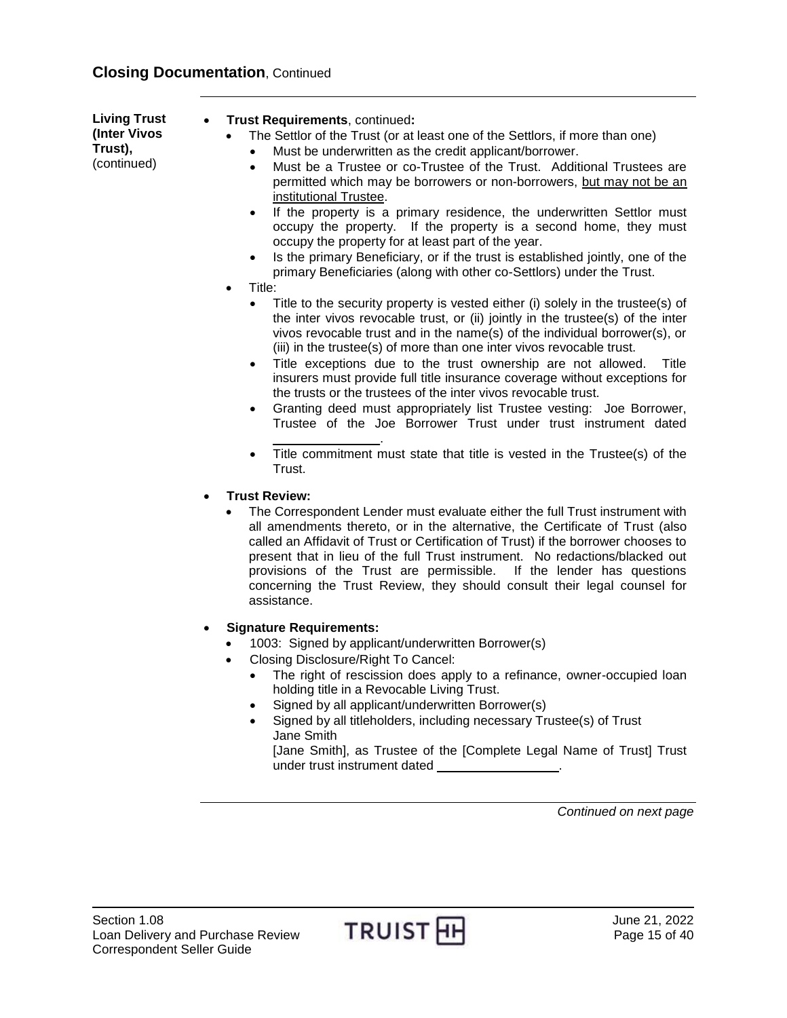| <b>Living Trust</b><br>$\bullet$<br>(Inter Vivos<br>Trust),<br>(continued)<br>٠<br>٠ | <b>Trust Requirements, continued:</b><br>The Settlor of the Trust (or at least one of the Settlors, if more than one)<br>Must be underwritten as the credit applicant/borrower.<br>٠<br>Must be a Trustee or co-Trustee of the Trust. Additional Trustees are<br>$\bullet$<br>permitted which may be borrowers or non-borrowers, but may not be an<br>institutional Trustee.<br>If the property is a primary residence, the underwritten Settlor must<br>$\bullet$<br>occupy the property. If the property is a second home, they must<br>occupy the property for at least part of the year.<br>Is the primary Beneficiary, or if the trust is established jointly, one of the<br>$\bullet$<br>primary Beneficiaries (along with other co-Settlors) under the Trust.<br>Title:<br>Title to the security property is vested either (i) solely in the trustee(s) of<br>$\bullet$<br>the inter vivos revocable trust, or (ii) jointly in the trustee(s) of the inter<br>vivos revocable trust and in the name(s) of the individual borrower(s), or<br>(iii) in the trustee(s) of more than one inter vivos revocable trust.<br>Title exceptions due to the trust ownership are not allowed.<br>Title<br>$\bullet$<br>insurers must provide full title insurance coverage without exceptions for<br>the trusts or the trustees of the inter vivos revocable trust.<br>Granting deed must appropriately list Trustee vesting: Joe Borrower,<br>Trustee of the Joe Borrower Trust under trust instrument dated<br>Title commitment must state that title is vested in the Trustee(s) of the<br>Trust.<br><b>Trust Review:</b><br>The Correspondent Lender must evaluate either the full Trust instrument with<br>all amendments thereto, or in the alternative, the Certificate of Trust (also<br>called an Affidavit of Trust or Certification of Trust) if the borrower chooses to<br>present that in lieu of the full Trust instrument. No redactions/blacked out<br>provisions of the Trust are permissible. If the lender has questions<br>concerning the Trust Review, they should consult their legal counsel for<br>assistance.<br><b>Signature Requirements:</b><br>1003: Signed by applicant/underwritten Borrower(s)<br>Closing Disclosure/Right To Cancel:<br>The right of rescission does apply to a refinance, owner-occupied loan<br>$\bullet$<br>holding title in a Revocable Living Trust.<br>Signed by all applicant/underwritten Borrower(s)<br>Signed by all titleholders, including necessary Trustee(s) of Trust<br>Jane Smith<br>[Jane Smith], as Trustee of the [Complete Legal Name of Trust] Trust<br>under trust instrument dated __________________. |
|--------------------------------------------------------------------------------------|----------------------------------------------------------------------------------------------------------------------------------------------------------------------------------------------------------------------------------------------------------------------------------------------------------------------------------------------------------------------------------------------------------------------------------------------------------------------------------------------------------------------------------------------------------------------------------------------------------------------------------------------------------------------------------------------------------------------------------------------------------------------------------------------------------------------------------------------------------------------------------------------------------------------------------------------------------------------------------------------------------------------------------------------------------------------------------------------------------------------------------------------------------------------------------------------------------------------------------------------------------------------------------------------------------------------------------------------------------------------------------------------------------------------------------------------------------------------------------------------------------------------------------------------------------------------------------------------------------------------------------------------------------------------------------------------------------------------------------------------------------------------------------------------------------------------------------------------------------------------------------------------------------------------------------------------------------------------------------------------------------------------------------------------------------------------------------------------------------------------------------------------------------------------------------------------------------------------------------------------------------------------------------------------------------------------------------------------------------------------------------------------------------------------------------------------------------------------------------------------------------------------------------------------------------------------------------------------------------------------------------------------------------------------------|
|                                                                                      | Continued on next page                                                                                                                                                                                                                                                                                                                                                                                                                                                                                                                                                                                                                                                                                                                                                                                                                                                                                                                                                                                                                                                                                                                                                                                                                                                                                                                                                                                                                                                                                                                                                                                                                                                                                                                                                                                                                                                                                                                                                                                                                                                                                                                                                                                                                                                                                                                                                                                                                                                                                                                                                                                                                                                     |

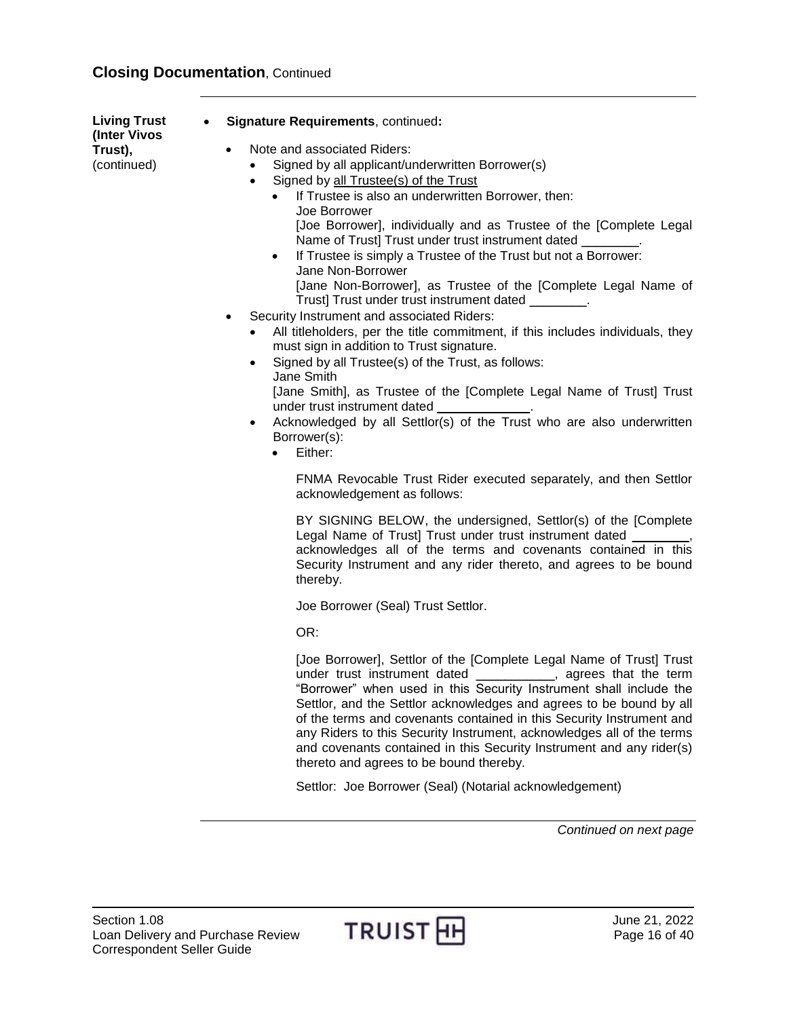| <b>Living Trust</b><br>(Inter Vivos | Signature Requirements, continued:                                                                                                                                                                                                                                                                                                                                                                                                                                                                                                                                                                                                                                                                                                                                                                                                                                                                                                                                                                                                                                                           |
|-------------------------------------|----------------------------------------------------------------------------------------------------------------------------------------------------------------------------------------------------------------------------------------------------------------------------------------------------------------------------------------------------------------------------------------------------------------------------------------------------------------------------------------------------------------------------------------------------------------------------------------------------------------------------------------------------------------------------------------------------------------------------------------------------------------------------------------------------------------------------------------------------------------------------------------------------------------------------------------------------------------------------------------------------------------------------------------------------------------------------------------------|
| Trust),<br>(continued)              | Note and associated Riders:<br>Signed by all applicant/underwritten Borrower(s)<br>Signed by all Trustee(s) of the Trust<br>$\bullet$<br>If Trustee is also an underwritten Borrower, then:<br>Joe Borrower<br>[Joe Borrower], individually and as Trustee of the [Complete Legal<br>Name of Trust] Trust under trust instrument dated<br>If Trustee is simply a Trustee of the Trust but not a Borrower:<br>$\bullet$<br>Jane Non-Borrower<br>[Jane Non-Borrower], as Trustee of the [Complete Legal Name of<br>Trust] Trust under trust instrument dated ________.<br>Security Instrument and associated Riders:<br>٠<br>All titleholders, per the title commitment, if this includes individuals, they<br>must sign in addition to Trust signature.<br>Signed by all Trustee(s) of the Trust, as follows:<br>$\bullet$<br>Jane Smith<br>[Jane Smith], as Trustee of the [Complete Legal Name of Trust] Trust<br>under trust instrument dated ______________<br>Acknowledged by all Settlor(s) of the Trust who are also underwritten<br>$\bullet$<br>Borrower(s):<br>Either:<br>$\bullet$ |
|                                     | FNMA Revocable Trust Rider executed separately, and then Settlor<br>acknowledgement as follows:                                                                                                                                                                                                                                                                                                                                                                                                                                                                                                                                                                                                                                                                                                                                                                                                                                                                                                                                                                                              |
|                                     | BY SIGNING BELOW, the undersigned, Settlor(s) of the [Complete<br>Legal Name of Trust] Trust under trust instrument dated ________,<br>acknowledges all of the terms and covenants contained in this<br>Security Instrument and any rider thereto, and agrees to be bound<br>thereby.                                                                                                                                                                                                                                                                                                                                                                                                                                                                                                                                                                                                                                                                                                                                                                                                        |
|                                     | Joe Borrower (Seal) Trust Settlor.                                                                                                                                                                                                                                                                                                                                                                                                                                                                                                                                                                                                                                                                                                                                                                                                                                                                                                                                                                                                                                                           |
|                                     | OR:                                                                                                                                                                                                                                                                                                                                                                                                                                                                                                                                                                                                                                                                                                                                                                                                                                                                                                                                                                                                                                                                                          |
|                                     | [Joe Borrower], Settlor of the [Complete Legal Name of Trust] Trust<br>under trust instrument dated ___________, agrees that the term<br>"Borrower" when used in this Security Instrument shall include the<br>Settlor, and the Settlor acknowledges and agrees to be bound by all<br>of the terms and covenants contained in this Security Instrument and<br>any Riders to this Security Instrument, acknowledges all of the terms<br>and covenants contained in this Security Instrument and any rider(s)<br>thereto and agrees to be bound thereby.                                                                                                                                                                                                                                                                                                                                                                                                                                                                                                                                       |

Settlor: Joe Borrower (Seal) (Notarial acknowledgement)

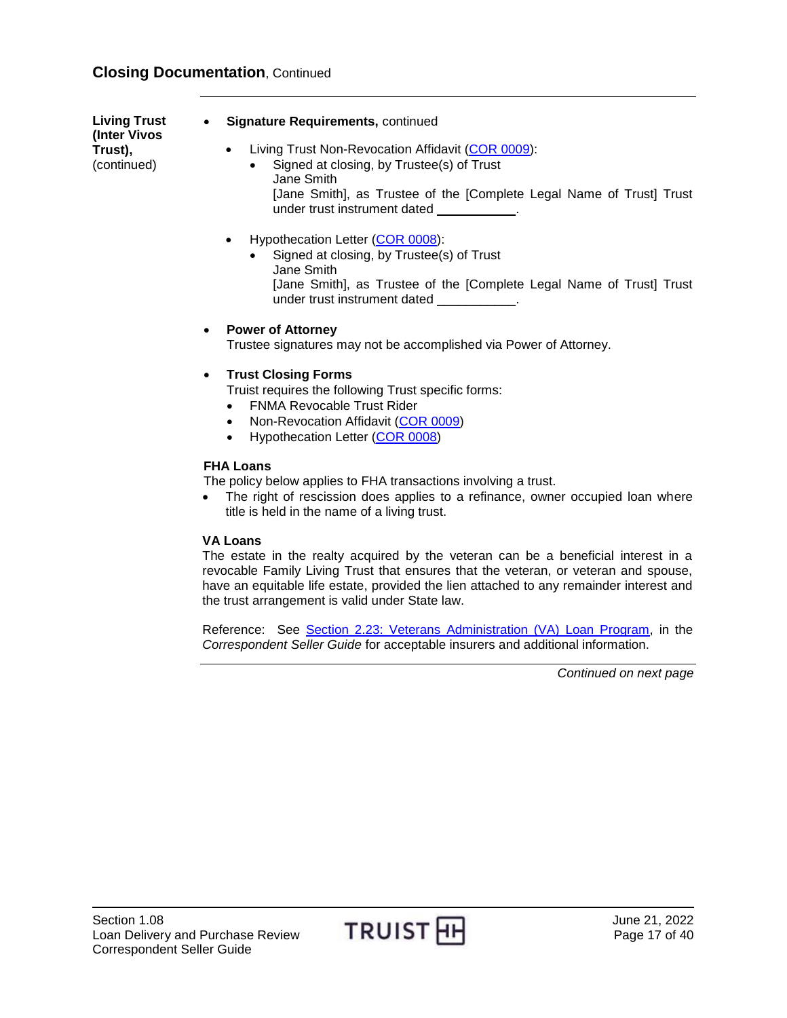**Living Trust (Inter Vivos Trust),** (continued)

#### **Signature Requirements,** continued

- Living Trust Non-Revocation Affidavit [\(COR 0009\)](https://www.truistsellerguide.com/manual/cor/forms/COR0009.pdf):
	- Signed at closing, by Trustee(s) of Trust Jane Smith [Jane Smith], as Trustee of the [Complete Legal Name of Trust] Trust under trust instrument dated \_\_\_\_\_\_\_\_\_\_\_.
- Hypothecation Letter [\(COR 0008\)](https://www.truistsellerguide.com/manual/cor/forms/COR0008.pdf):
	- Signed at closing, by Trustee(s) of Trust Jane Smith [Jane Smith], as Trustee of the [Complete Legal Name of Trust] Trust under trust instrument dated \_\_\_\_\_\_\_\_\_\_\_.
- **Power of Attorney**

Trustee signatures may not be accomplished via Power of Attorney.

**Trust Closing Forms**

Truist requires the following Trust specific forms:

- FNMA Revocable Trust Rider
- Non-Revocation Affidavit [\(COR 0009\)](https://www.truistsellerguide.com/manual/cor/forms/cor0009.pdf)
- Hypothecation Letter [\(COR 0008\)](https://www.truistsellerguide.com/manual/cor/forms/cor0008.pdf)

#### **FHA Loans**

The policy below applies to FHA transactions involving a trust.

• The right of rescission does applies to a refinance, owner occupied loan where title is held in the name of a living trust.

#### **VA Loans**

The estate in the realty acquired by the veteran can be a beneficial interest in a revocable Family Living Trust that ensures that the veteran, or veteran and spouse, have an equitable life estate, provided the lien attached to any remainder interest and the trust arrangement is valid under State law.

Reference: See [Section 2.23: Veterans Administration \(VA\) Loan Program,](https://www.truistsellerguide.com/manual/cor/products/CVA.pdf) in the *Correspondent Seller Guide* for acceptable insurers and additional information.

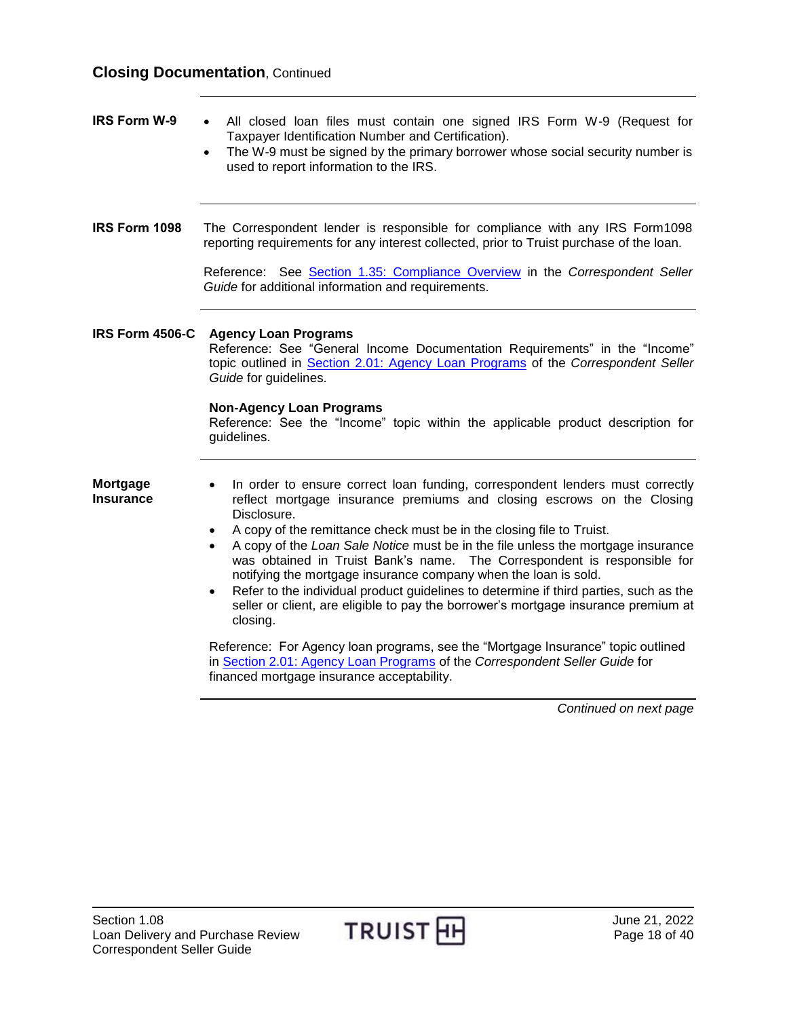## **Closing Documentation**, Continued

<span id="page-17-3"></span><span id="page-17-2"></span><span id="page-17-1"></span><span id="page-17-0"></span>

| <b>IRS Form W-9</b>                 | All closed loan files must contain one signed IRS Form W-9 (Request for<br>Taxpayer Identification Number and Certification).<br>The W-9 must be signed by the primary borrower whose social security number is<br>$\bullet$<br>used to report information to the IRS.                                                                                                                                                                                                                                                                                                                                                                                                                                                                                                                                                                                                                         |
|-------------------------------------|------------------------------------------------------------------------------------------------------------------------------------------------------------------------------------------------------------------------------------------------------------------------------------------------------------------------------------------------------------------------------------------------------------------------------------------------------------------------------------------------------------------------------------------------------------------------------------------------------------------------------------------------------------------------------------------------------------------------------------------------------------------------------------------------------------------------------------------------------------------------------------------------|
| <b>IRS Form 1098</b>                | The Correspondent lender is responsible for compliance with any IRS Form1098<br>reporting requirements for any interest collected, prior to Truist purchase of the loan.<br>Reference: See Section 1.35: Compliance Overview in the Correspondent Seller<br>Guide for additional information and requirements.                                                                                                                                                                                                                                                                                                                                                                                                                                                                                                                                                                                 |
| IRS Form 4506-C                     | <b>Agency Loan Programs</b><br>Reference: See "General Income Documentation Requirements" in the "Income"<br>topic outlined in Section 2.01: Agency Loan Programs of the Correspondent Seller<br>Guide for guidelines.<br><b>Non-Agency Loan Programs</b><br>Reference: See the "Income" topic within the applicable product description for<br>guidelines.                                                                                                                                                                                                                                                                                                                                                                                                                                                                                                                                    |
| <b>Mortgage</b><br><b>Insurance</b> | In order to ensure correct loan funding, correspondent lenders must correctly<br>reflect mortgage insurance premiums and closing escrows on the Closing<br>Disclosure.<br>A copy of the remittance check must be in the closing file to Truist.<br>A copy of the Loan Sale Notice must be in the file unless the mortgage insurance<br>was obtained in Truist Bank's name. The Correspondent is responsible for<br>notifying the mortgage insurance company when the loan is sold.<br>Refer to the individual product guidelines to determine if third parties, such as the<br>seller or client, are eligible to pay the borrower's mortgage insurance premium at<br>closing.<br>Reference: For Agency loan programs, see the "Mortgage Insurance" topic outlined<br>in Section 2.01: Agency Loan Programs of the Correspondent Seller Guide for<br>financed mortgage insurance acceptability. |

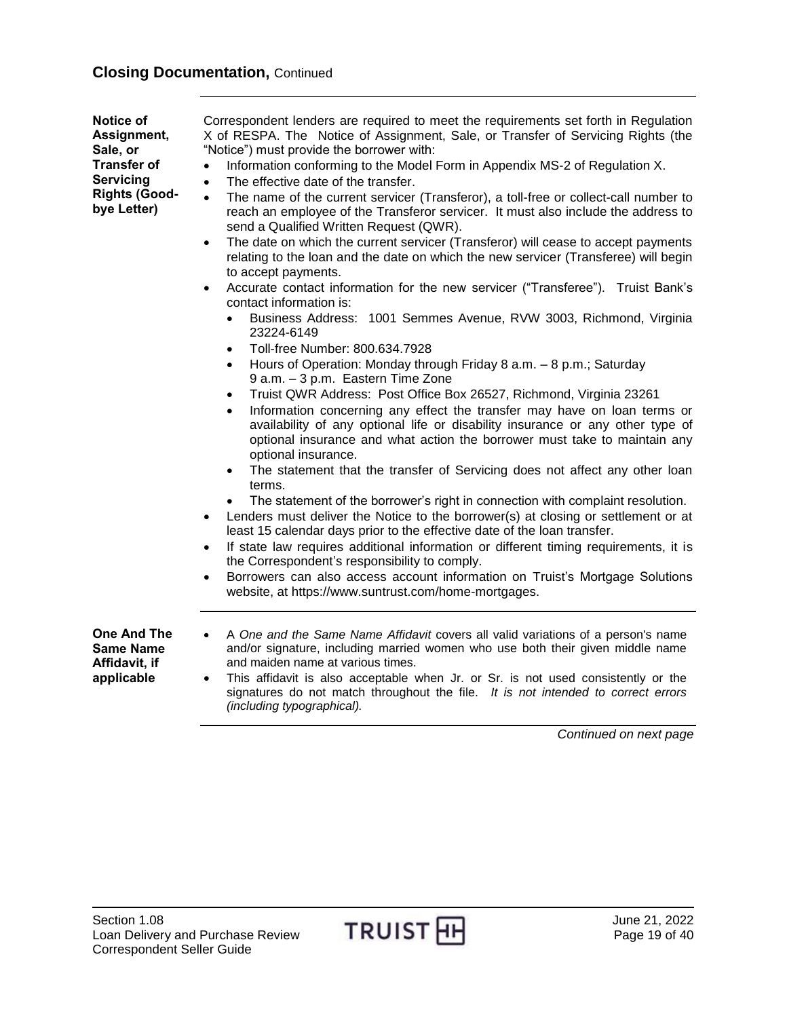<span id="page-18-0"></span>**Notice of Assignment, Sale, or Transfer of Servicing Rights (Goodbye Letter)**

Correspondent lenders are required to meet the requirements set forth in Regulation X of RESPA. The Notice of Assignment, Sale, or Transfer of Servicing Rights (the "Notice") must provide the borrower with:

- Information conforming to the Model Form in Appendix MS-2 of Regulation X.
- The effective date of the transfer.
- The name of the current servicer (Transferor), a toll-free or collect-call number to reach an employee of the Transferor servicer. It must also include the address to send a Qualified Written Request (QWR).
- The date on which the current servicer (Transferor) will cease to accept payments relating to the loan and the date on which the new servicer (Transferee) will begin to accept payments.
- Accurate contact information for the new servicer ("Transferee"). Truist Bank's contact information is:
	- Business Address: 1001 Semmes Avenue, RVW 3003, Richmond, Virginia 23224-6149
	- Toll-free Number: 800.634.7928
	- Hours of Operation: Monday through Friday 8 a.m. 8 p.m.; Saturday 9 a.m. – 3 p.m. Eastern Time Zone
	- Truist QWR Address: Post Office Box 26527, Richmond, Virginia 23261
	- Information concerning any effect the transfer may have on loan terms or availability of any optional life or disability insurance or any other type of optional insurance and what action the borrower must take to maintain any optional insurance.
	- The statement that the transfer of Servicing does not affect any other loan terms.
	- The statement of the borrower's right in connection with complaint resolution.
- Lenders must deliver the Notice to the borrower(s) at closing or settlement or at least 15 calendar days prior to the effective date of the loan transfer.
- If state law requires additional information or different timing requirements, it is the Correspondent's responsibility to comply.
- Borrowers can also access account information on Truist's Mortgage Solutions website, at https://www.suntrust.com/home-mortgages.

<span id="page-18-1"></span>**One And The Same Name Affidavit, if applicable**

- A *One and the Same Name Affidavit* covers all valid variations of a person's name and/or signature, including married women who use both their given middle name and maiden name at various times.
- This affidavit is also acceptable when Jr. or Sr. is not used consistently or the signatures do not match throughout the file. *It is not intended to correct errors (including typographical).*

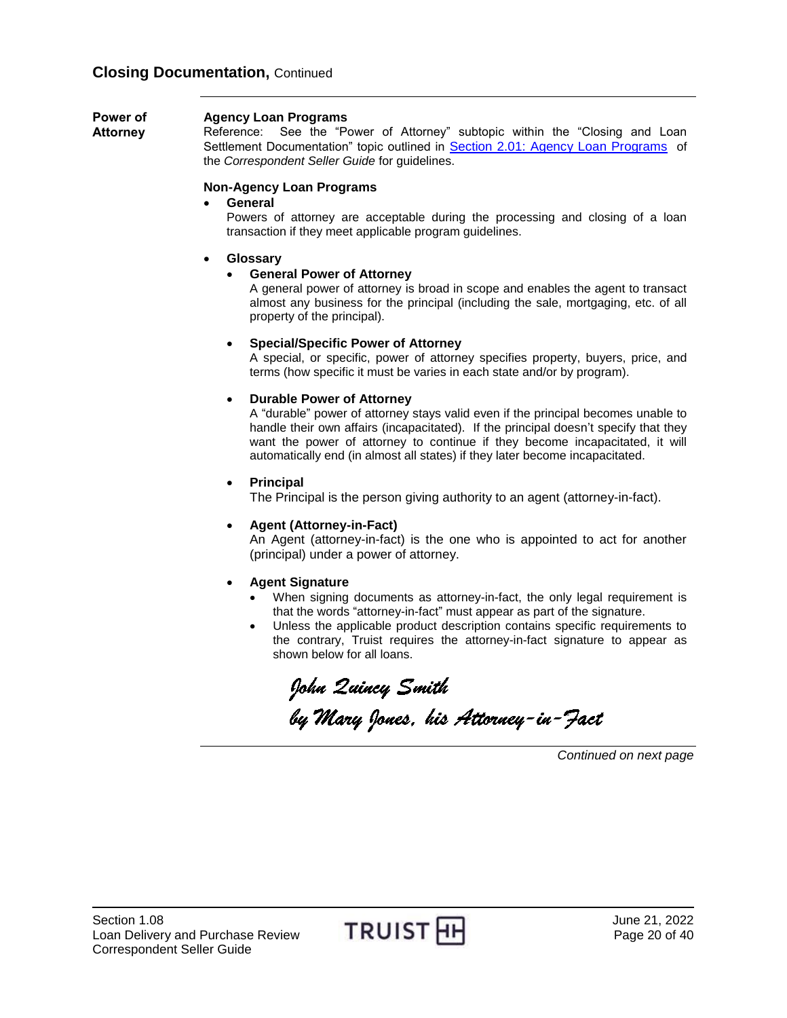<span id="page-19-0"></span>**Power of Attorney**

#### **Agency Loan Programs**

Reference: See the "Power of Attorney" subtopic within the "Closing and Loan Settlement Documentation" topic outlined in [Section 2.01: Agency Loan Programs](https://www.truistsellerguide.com/manual/cor/products/CAgency.pdf) [o](https://www.truistsellerguide.com/manual/cor/products/cagency.pdf)f the *Correspondent Seller Guide* for guidelines.

#### **Non-Agency Loan Programs**

**General**

Powers of attorney are acceptable during the processing and closing of a loan transaction if they meet applicable program guidelines.

**Glossary**

#### **General Power of Attorney**

A general power of attorney is broad in scope and enables the agent to transact almost any business for the principal (including the sale, mortgaging, etc. of all property of the principal).

#### **Special/Specific Power of Attorney**

A special, or specific, power of attorney specifies property, buyers, price, and terms (how specific it must be varies in each state and/or by program).

#### **Durable Power of Attorney**

A "durable" power of attorney stays valid even if the principal becomes unable to handle their own affairs (incapacitated). If the principal doesn't specify that they want the power of attorney to continue if they become incapacitated, it will automatically end (in almost all states) if they later become incapacitated.

**Principal**

The Principal is the person giving authority to an agent (attorney-in-fact).

#### **Agent (Attorney-in-Fact)**

An Agent (attorney-in-fact) is the one who is appointed to act for another (principal) under a power of attorney.

#### **Agent Signature**

- When signing documents as attorney-in-fact, the only legal requirement is that the words "attorney-in-fact" must appear as part of the signature.
- Unless the applicable product description contains specific requirements to the contrary, Truist requires the attorney-in-fact signature to appear as shown below for all loans.

John Qaincy Smith

by Mary Jones, his Attorney-in-Jact

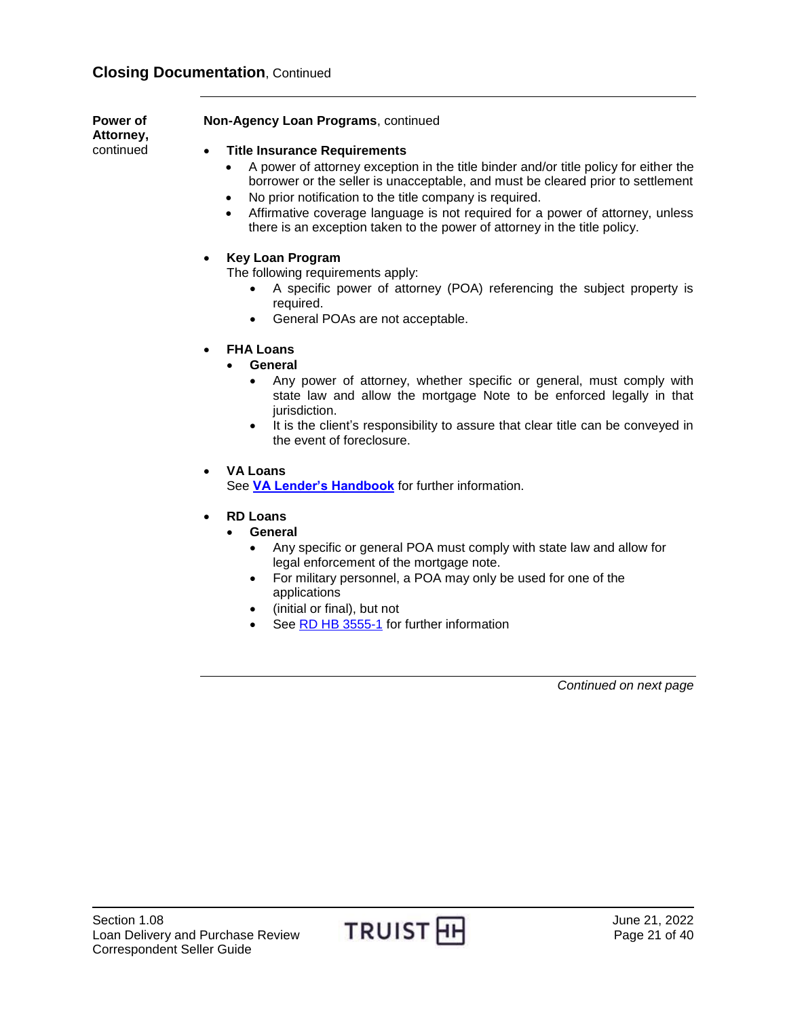**Power of Attorney,** continued

#### **Non-Agency Loan Programs**, continued

#### **Title Insurance Requirements**

- A power of attorney exception in the title binder and/or title policy for either the borrower or the seller is unacceptable, and must be cleared prior to settlement
- No prior notification to the title company is required.
- Affirmative coverage language is not required for a power of attorney, unless there is an exception taken to the power of attorney in the title policy.

#### **Key Loan Program**

The following requirements apply:

- A specific power of attorney (POA) referencing the subject property is required.
- General POAs are not acceptable.

#### **FHA Loans**

- **General**
	- Any power of attorney, whether specific or general, must comply with state law and allow the mortgage Note to be enforced legally in that jurisdiction.
	- It is the client's responsibility to assure that clear title can be conveyed in the event of foreclosure.
- **VA Loans**

See **[VA Lender's Handbook](http://benefits.va.gov/warms/pam26_7.asp)** for further information.

- **RD Loans**
	- **General**
		- Any specific or general POA must comply with state law and allow for legal enforcement of the mortgage note.
		- For military personnel, a POA may only be used for one of the applications
		- (initial or final), but not
		- See [RD HB 3555-1](https://www.rd.usda.gov/resources/directives/handbooks) for further information

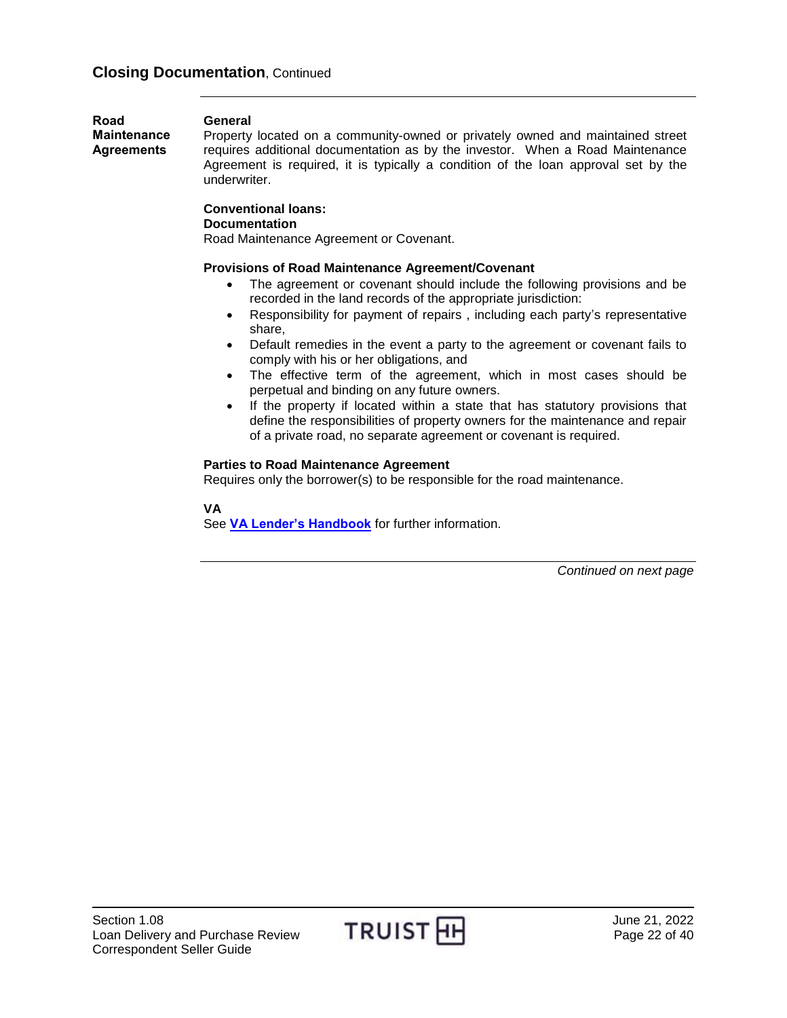#### **General**

**Maintenance Agreements**

<span id="page-21-0"></span>**Road** 

Property located on a community-owned or privately owned and maintained street requires additional documentation as by the investor. When a Road Maintenance Agreement is required, it is typically a condition of the loan approval set by the underwriter.

### **Conventional loans:**

#### **Documentation**

Road Maintenance Agreement or Covenant.

#### **Provisions of Road Maintenance Agreement/Covenant**

- The agreement or covenant should include the following provisions and be recorded in the land records of the appropriate jurisdiction:
- Responsibility for payment of repairs , including each party's representative share,
- Default remedies in the event a party to the agreement or covenant fails to comply with his or her obligations, and
- The effective term of the agreement, which in most cases should be perpetual and binding on any future owners.
- If the property if located within a state that has statutory provisions that define the responsibilities of property owners for the maintenance and repair of a private road, no separate agreement or covenant is required.

#### **Parties to Road Maintenance Agreement**

Requires only the borrower(s) to be responsible for the road maintenance.

**VA**

See **[VA Lender's Handbook](http://benefits.va.gov/warms/pam26_7.asp)** for further information.

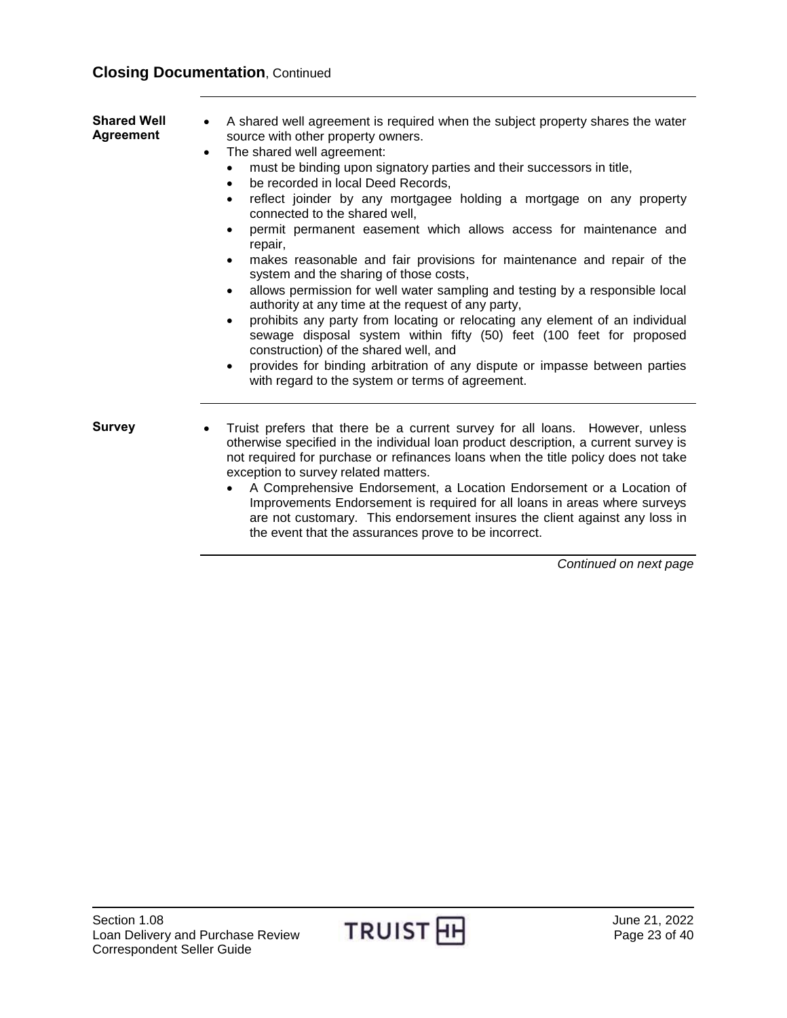## **Closing Documentation**, Continued

<span id="page-22-1"></span><span id="page-22-0"></span>

| <b>Shared Well</b><br><b>Agreement</b> | A shared well agreement is required when the subject property shares the water<br>$\bullet$<br>source with other property owners.<br>The shared well agreement:<br>$\bullet$<br>must be binding upon signatory parties and their successors in title,<br>be recorded in local Deed Records,<br>$\bullet$<br>reflect joinder by any mortgagee holding a mortgage on any property<br>$\bullet$<br>connected to the shared well,<br>permit permanent easement which allows access for maintenance and<br>$\bullet$<br>repair,<br>makes reasonable and fair provisions for maintenance and repair of the<br>system and the sharing of those costs,<br>allows permission for well water sampling and testing by a responsible local<br>authority at any time at the request of any party,<br>prohibits any party from locating or relocating any element of an individual<br>sewage disposal system within fifty (50) feet (100 feet for proposed<br>construction) of the shared well, and<br>provides for binding arbitration of any dispute or impasse between parties<br>with regard to the system or terms of agreement. |  |
|----------------------------------------|-------------------------------------------------------------------------------------------------------------------------------------------------------------------------------------------------------------------------------------------------------------------------------------------------------------------------------------------------------------------------------------------------------------------------------------------------------------------------------------------------------------------------------------------------------------------------------------------------------------------------------------------------------------------------------------------------------------------------------------------------------------------------------------------------------------------------------------------------------------------------------------------------------------------------------------------------------------------------------------------------------------------------------------------------------------------------------------------------------------------------|--|
| <b>Survey</b>                          | Truist prefers that there be a current survey for all loans. However, unless<br>otherwise specified in the individual loan product description, a current survey is<br>not required for purchase or refinances loans when the title policy does not take<br>exception to survey related matters.<br>A Comprehensive Endorsement, a Location Endorsement or a Location of<br>Improvements Endorsement is required for all loans in areas where surveys<br>are not customary. This endorsement insures the client against any loss in<br>the event that the assurances prove to be incorrect.                                                                                                                                                                                                                                                                                                                                                                                                                                                                                                                             |  |

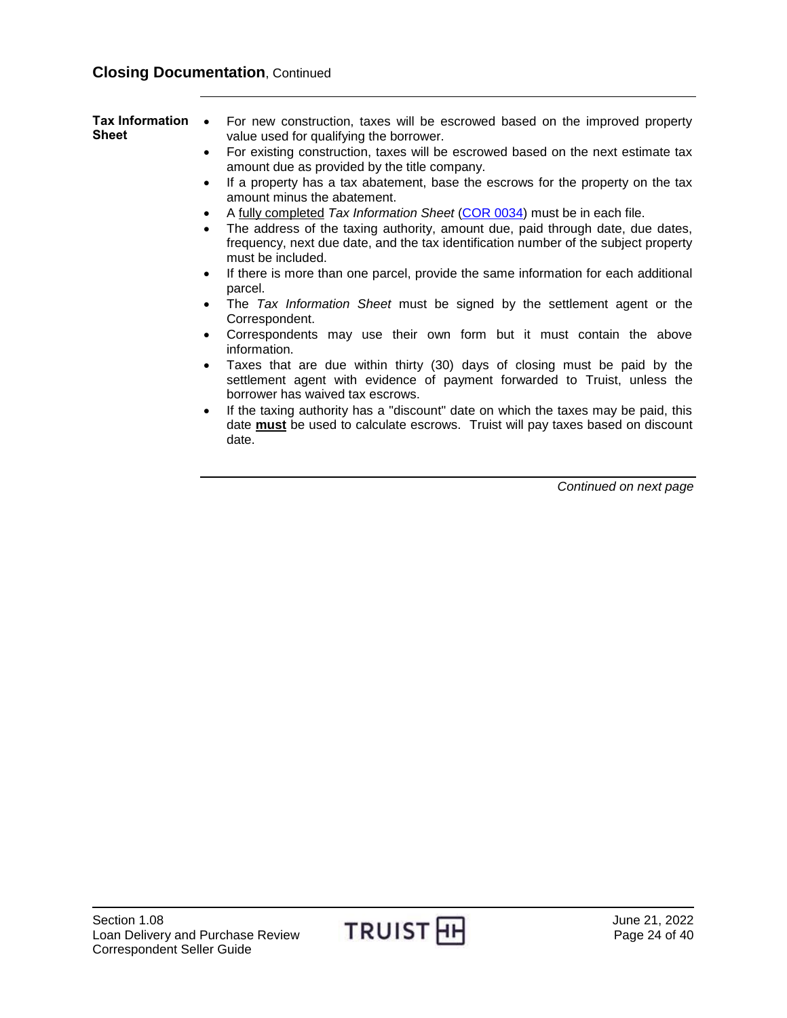<span id="page-23-0"></span>

| frequency, next due date, and the tax identification number of the subject property<br>must be included.<br>If there is more than one parcel, provide the same information for each additional<br>$\bullet$<br>parcel.<br>The Tax Information Sheet must be signed by the settlement agent or the<br>Correspondent.<br>Correspondents may use their own form but it must contain the above<br>information.<br>Taxes that are due within thirty (30) days of closing must be paid by the<br>$\bullet$<br>settlement agent with evidence of payment forwarded to Truist, unless the<br>borrower has waived tax escrows.<br>If the taxing authority has a "discount" date on which the taxes may be paid, this<br>$\bullet$<br>date <b>must</b> be used to calculate escrows. Truist will pay taxes based on discount<br>date. |
|-----------------------------------------------------------------------------------------------------------------------------------------------------------------------------------------------------------------------------------------------------------------------------------------------------------------------------------------------------------------------------------------------------------------------------------------------------------------------------------------------------------------------------------------------------------------------------------------------------------------------------------------------------------------------------------------------------------------------------------------------------------------------------------------------------------------------------|
| Continued on next page                                                                                                                                                                                                                                                                                                                                                                                                                                                                                                                                                                                                                                                                                                                                                                                                      |

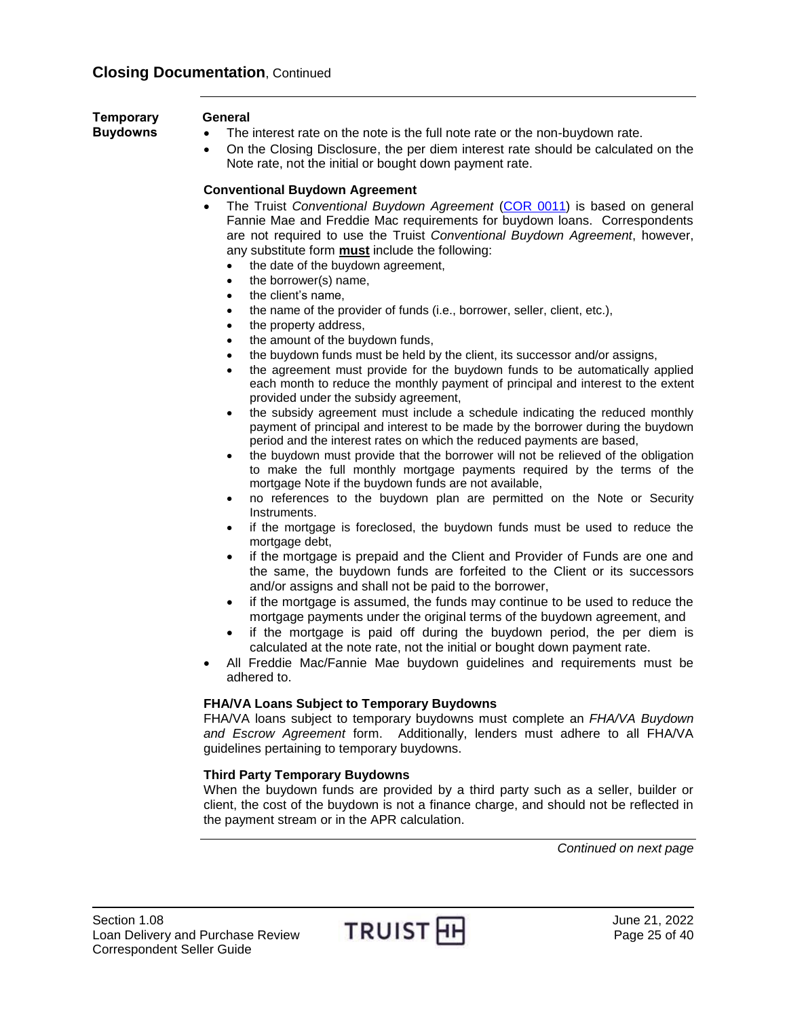#### <span id="page-24-0"></span>**Temporary Buydowns**

### **General**

- The interest rate on the note is the full note rate or the non-buydown rate.
- On the Closing Disclosure, the per diem interest rate should be calculated on the Note rate, not the initial or bought down payment rate.

#### **Conventional Buydown Agreement**

- The Truist *Conventional Buydown Agreement* [\(COR 0011\)](https://www.truistsellerguide.com/manual/cor/forms/cor0011.pdf) is based on general Fannie Mae and Freddie Mac requirements for buydown loans. Correspondents are not required to use the Truist *Conventional Buydown Agreement*, however, any substitute form **must** include the following:
	- the date of the buydown agreement,
	- the borrower(s) name,
	- the client's name,
	- the name of the provider of funds (i.e., borrower, seller, client, etc.),
	- the property address,
	- the amount of the buydown funds,
	- the buydown funds must be held by the client, its successor and/or assigns,
	- the agreement must provide for the buydown funds to be automatically applied each month to reduce the monthly payment of principal and interest to the extent provided under the subsidy agreement,
	- the subsidy agreement must include a schedule indicating the reduced monthly payment of principal and interest to be made by the borrower during the buydown period and the interest rates on which the reduced payments are based,
	- the buydown must provide that the borrower will not be relieved of the obligation to make the full monthly mortgage payments required by the terms of the mortgage Note if the buydown funds are not available,
	- no references to the buydown plan are permitted on the Note or Security Instruments.
	- if the mortgage is foreclosed, the buydown funds must be used to reduce the mortgage debt,
	- if the mortgage is prepaid and the Client and Provider of Funds are one and the same, the buydown funds are forfeited to the Client or its successors and/or assigns and shall not be paid to the borrower,
	- if the mortgage is assumed, the funds may continue to be used to reduce the mortgage payments under the original terms of the buydown agreement, and
	- if the mortgage is paid off during the buydown period, the per diem is calculated at the note rate, not the initial or bought down payment rate.
- All Freddie Mac/Fannie Mae buydown guidelines and requirements must be adhered to.

#### **FHA/VA Loans Subject to Temporary Buydowns**

FHA/VA loans subject to temporary buydowns must complete an *FHA/VA Buydown and Escrow Agreement* form. Additionally, lenders must adhere to all FHA/VA guidelines pertaining to temporary buydowns.

#### **Third Party Temporary Buydowns**

When the buydown funds are provided by a third party such as a seller, builder or client, the cost of the buydown is not a finance charge, and should not be reflected in the payment stream or in the APR calculation.

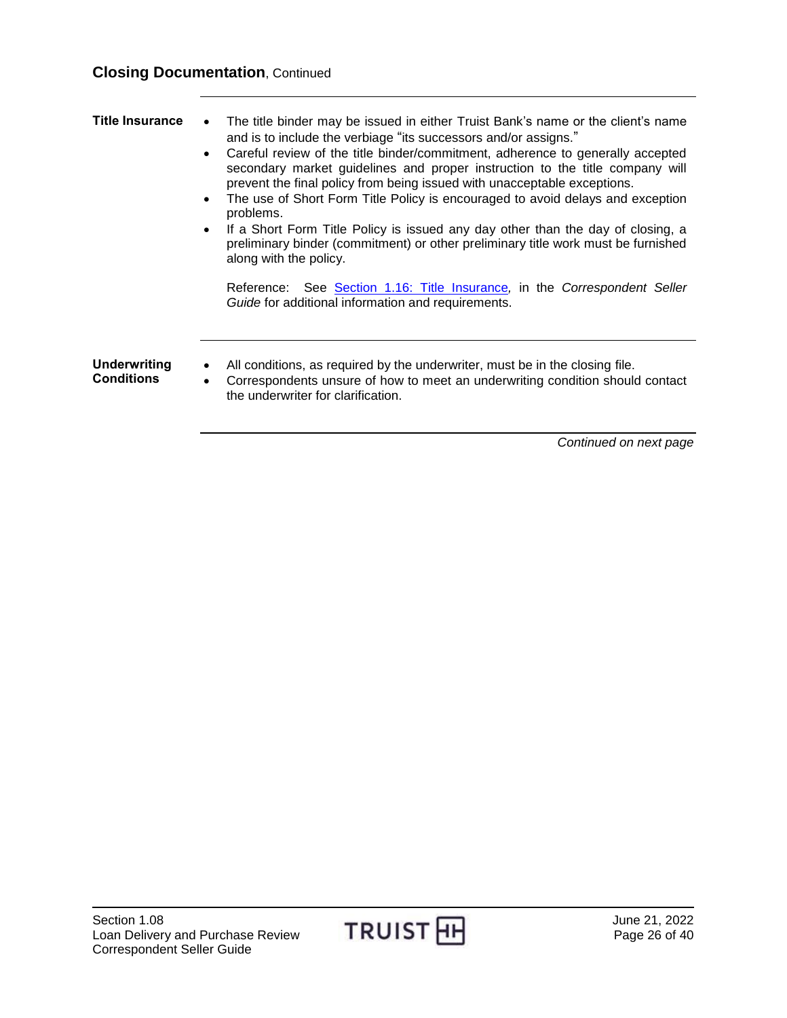## **Closing Documentation**, Continued

<span id="page-25-1"></span><span id="page-25-0"></span>

| <b>Title Insurance</b>                   | The title binder may be issued in either Truist Bank's name or the client's name<br>and is to include the verbiage "its successors and/or assigns."<br>Careful review of the title binder/commitment, adherence to generally accepted<br>secondary market guidelines and proper instruction to the title company will<br>prevent the final policy from being issued with unacceptable exceptions.<br>The use of Short Form Title Policy is encouraged to avoid delays and exception<br>problems.<br>If a Short Form Title Policy is issued any day other than the day of closing, a<br>preliminary binder (commitment) or other preliminary title work must be furnished<br>along with the policy.<br>Reference: See Section 1.16: Title Insurance, in the Correspondent Seller<br>Guide for additional information and requirements. |  |
|------------------------------------------|---------------------------------------------------------------------------------------------------------------------------------------------------------------------------------------------------------------------------------------------------------------------------------------------------------------------------------------------------------------------------------------------------------------------------------------------------------------------------------------------------------------------------------------------------------------------------------------------------------------------------------------------------------------------------------------------------------------------------------------------------------------------------------------------------------------------------------------|--|
| <b>Underwriting</b><br><b>Conditions</b> | All conditions, as required by the underwriter, must be in the closing file.<br>٠<br>Correspondents unsure of how to meet an underwriting condition should contact<br>the underwriter for clarification.                                                                                                                                                                                                                                                                                                                                                                                                                                                                                                                                                                                                                              |  |

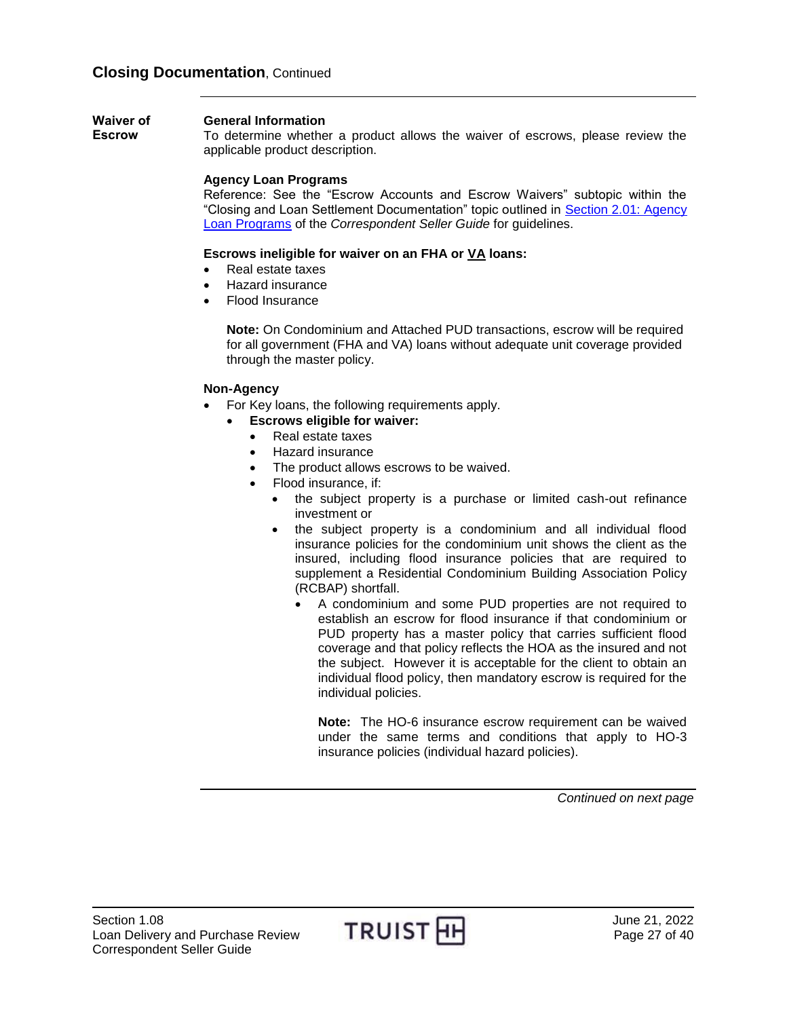<span id="page-26-0"></span>**Waiver of** 

**Escrow**

## **General Information**

To determine whether a product allows the waiver of escrows, please review the applicable product description.

#### **Agency Loan Programs**

Reference: See the "Escrow Accounts and Escrow Waivers" subtopic within the "Closing and Loan Settlement Documentation" topic outlined in [Section 2.01: Agency](https://www.truistsellerguide.com/manual/cor/products/CAgency.pdf)  [Loan Programs](https://www.truistsellerguide.com/manual/cor/products/CAgency.pdf) of the *Correspondent Seller Guide* for guidelines.

#### **Escrows ineligible for waiver on an FHA or VA loans:**

- Real estate taxes
- Hazard insurance
- Flood Insurance

**Note:** On Condominium and Attached PUD transactions, escrow will be required for all government (FHA and VA) loans without adequate unit coverage provided through the master policy.

#### **Non-Agency**

- For Key loans, the following requirements apply.
	- **Escrows eligible for waiver:**
		- Real estate taxes
		- Hazard insurance
		- The product allows escrows to be waived.
		- Flood insurance, if:
			- the subject property is a purchase or limited cash-out refinance investment or
			- the subject property is a condominium and all individual flood insurance policies for the condominium unit shows the client as the insured, including flood insurance policies that are required to supplement a Residential Condominium Building Association Policy (RCBAP) shortfall.
				- A condominium and some PUD properties are not required to establish an escrow for flood insurance if that condominium or PUD property has a master policy that carries sufficient flood coverage and that policy reflects the HOA as the insured and not the subject. However it is acceptable for the client to obtain an individual flood policy, then mandatory escrow is required for the individual policies.

**Note:** The HO-6 insurance escrow requirement can be waived under the same terms and conditions that apply to HO-3 insurance policies (individual hazard policies).

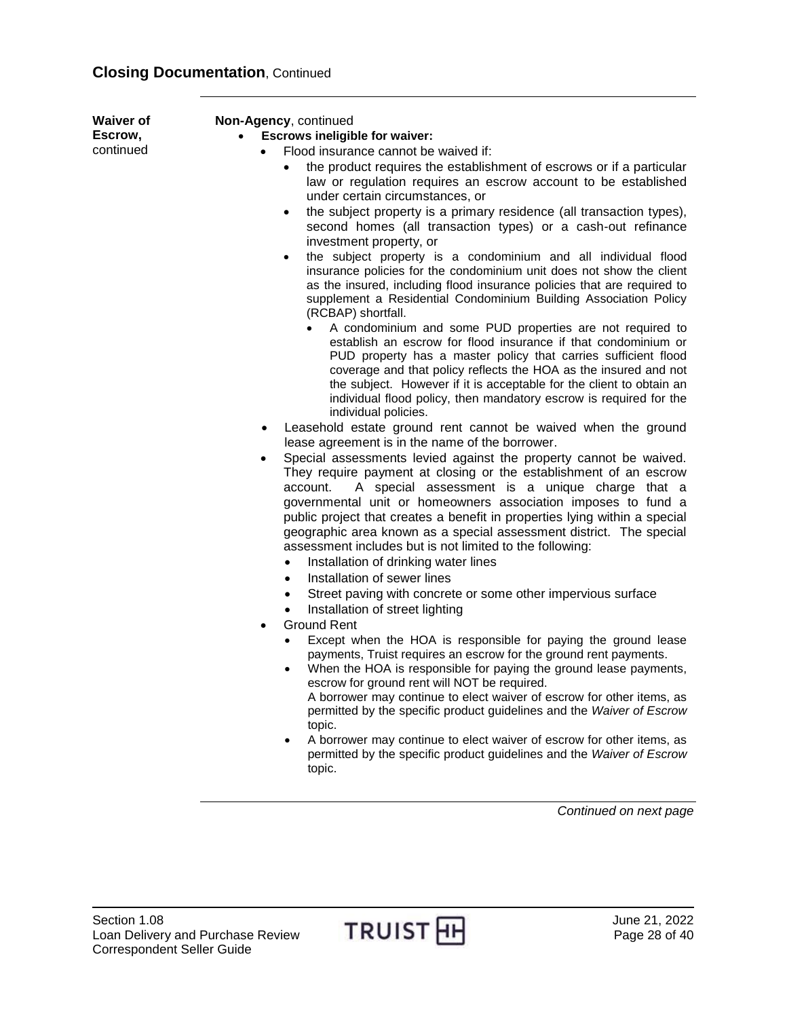| <b>Waiver of</b> | Non-Agency, continued                                                                                                                                                                                                                                                                                                                                                                                                                                                                                                                                                                                |
|------------------|------------------------------------------------------------------------------------------------------------------------------------------------------------------------------------------------------------------------------------------------------------------------------------------------------------------------------------------------------------------------------------------------------------------------------------------------------------------------------------------------------------------------------------------------------------------------------------------------------|
| Escrow,          | <b>Escrows ineligible for waiver:</b>                                                                                                                                                                                                                                                                                                                                                                                                                                                                                                                                                                |
| continued        | Flood insurance cannot be waived if:                                                                                                                                                                                                                                                                                                                                                                                                                                                                                                                                                                 |
|                  | the product requires the establishment of escrows or if a particular<br>law or regulation requires an escrow account to be established<br>under certain circumstances, or<br>the subject property is a primary residence (all transaction types),<br>$\bullet$                                                                                                                                                                                                                                                                                                                                       |
|                  | second homes (all transaction types) or a cash-out refinance<br>investment property, or                                                                                                                                                                                                                                                                                                                                                                                                                                                                                                              |
|                  | the subject property is a condominium and all individual flood<br>$\bullet$<br>insurance policies for the condominium unit does not show the client<br>as the insured, including flood insurance policies that are required to<br>supplement a Residential Condominium Building Association Policy<br>(RCBAP) shortfall.                                                                                                                                                                                                                                                                             |
|                  | A condominium and some PUD properties are not required to<br>establish an escrow for flood insurance if that condominium or<br>PUD property has a master policy that carries sufficient flood<br>coverage and that policy reflects the HOA as the insured and not<br>the subject. However if it is acceptable for the client to obtain an<br>individual flood policy, then mandatory escrow is required for the<br>individual policies.                                                                                                                                                              |
|                  | Leasehold estate ground rent cannot be waived when the ground<br>$\bullet$                                                                                                                                                                                                                                                                                                                                                                                                                                                                                                                           |
|                  | lease agreement is in the name of the borrower.                                                                                                                                                                                                                                                                                                                                                                                                                                                                                                                                                      |
|                  | Special assessments levied against the property cannot be waived.<br>$\bullet$<br>They require payment at closing or the establishment of an escrow<br>A special assessment is a unique charge that a<br>account.<br>governmental unit or homeowners association imposes to fund a<br>public project that creates a benefit in properties lying within a special<br>geographic area known as a special assessment district. The special<br>assessment includes but is not limited to the following:<br>Installation of drinking water lines<br>$\bullet$<br>Installation of sewer lines<br>$\bullet$ |
|                  | Street paving with concrete or some other impervious surface<br>$\bullet$<br>Installation of street lighting<br>$\bullet$                                                                                                                                                                                                                                                                                                                                                                                                                                                                            |
|                  | <b>Ground Rent</b><br>$\bullet$<br>Except when the HOA is responsible for paying the ground lease<br>payments, Truist requires an escrow for the ground rent payments.<br>When the HOA is responsible for paying the ground lease payments,<br>$\bullet$<br>escrow for ground rent will NOT be required.<br>A borrower may continue to elect waiver of escrow for other items, as<br>permitted by the specific product guidelines and the Waiver of Escrow<br>topic.                                                                                                                                 |
|                  | A borrower may continue to elect waiver of escrow for other items, as<br>$\bullet$<br>permitted by the specific product guidelines and the Waiver of Escrow<br>topic.                                                                                                                                                                                                                                                                                                                                                                                                                                |

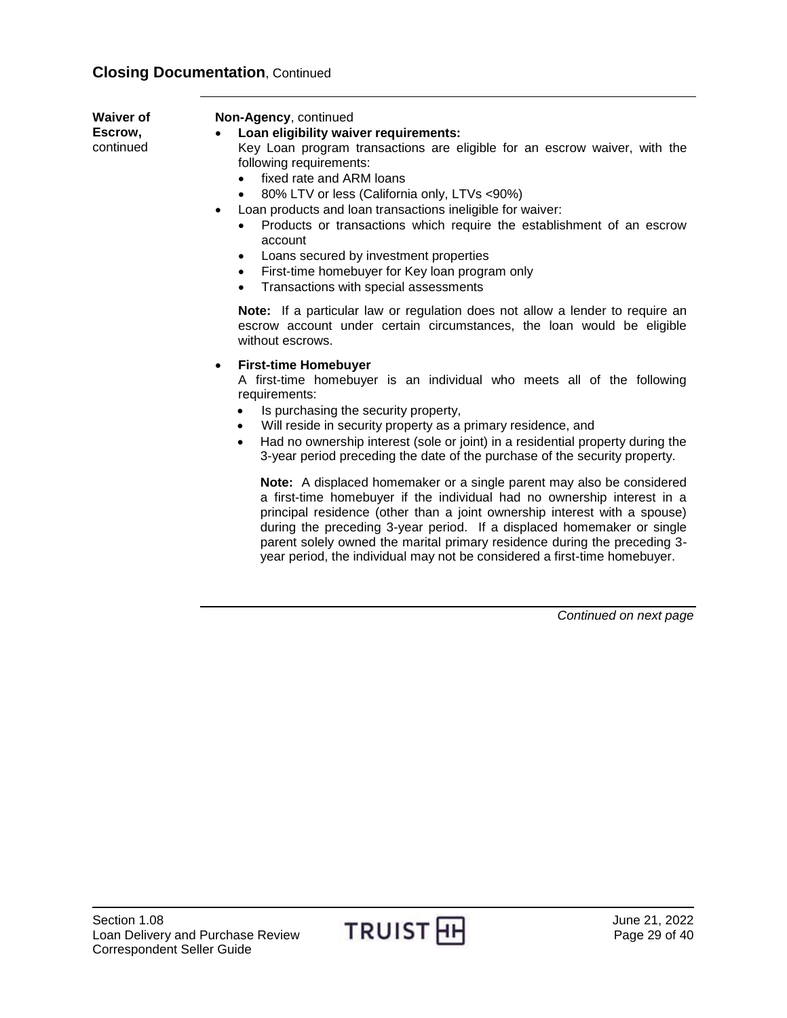| <b>Waiver of</b><br>Escrow,<br>continued | Non-Agency, continued<br>Loan eligibility waiver requirements:<br>$\bullet$<br>Key Loan program transactions are eligible for an escrow waiver, with the<br>following requirements:<br>fixed rate and ARM loans<br>$\bullet$<br>80% LTV or less (California only, LTVs <90%)<br>$\bullet$<br>Loan products and loan transactions ineligible for waiver:<br>$\bullet$ |
|------------------------------------------|----------------------------------------------------------------------------------------------------------------------------------------------------------------------------------------------------------------------------------------------------------------------------------------------------------------------------------------------------------------------|
|                                          | Products or transactions which require the establishment of an escrow<br>$\bullet$<br>account<br>Loans secured by investment properties<br>$\bullet$                                                                                                                                                                                                                 |
|                                          | First-time homebuyer for Key loan program only<br>$\bullet$                                                                                                                                                                                                                                                                                                          |

Transactions with special assessments

**Note:** If a particular law or regulation does not allow a lender to require an escrow account under certain circumstances, the loan would be eligible without escrows.

#### **First-time Homebuyer**

A first-time homebuyer is an individual who meets all of the following requirements:

- Is purchasing the security property,
- Will reside in security property as a primary residence, and
- Had no ownership interest (sole or joint) in a residential property during the 3-year period preceding the date of the purchase of the security property.

**Note:** A displaced homemaker or a single parent may also be considered a first-time homebuyer if the individual had no ownership interest in a principal residence (other than a joint ownership interest with a spouse) during the preceding 3-year period. If a displaced homemaker or single parent solely owned the marital primary residence during the preceding 3 year period, the individual may not be considered a first-time homebuyer.

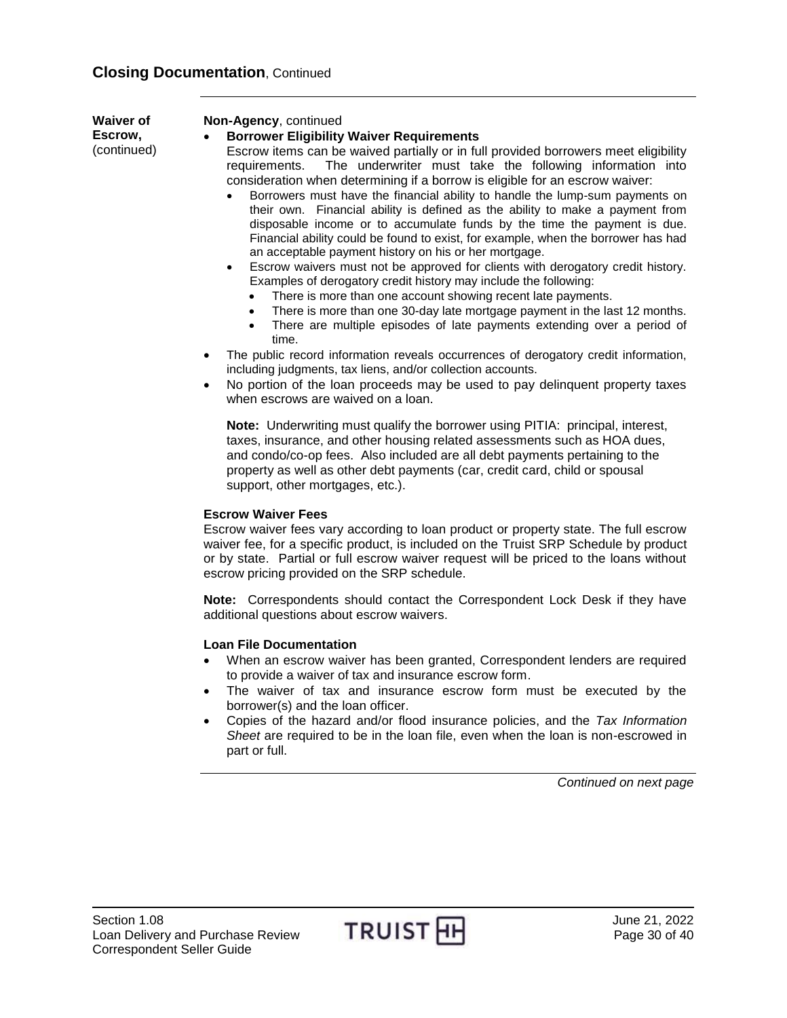**Waiver of Escrow,**  (continued)

#### **Non-Agency**, continued

#### **Borrower Eligibility Waiver Requirements**

Escrow items can be waived partially or in full provided borrowers meet eligibility requirements. The underwriter must take the following information into consideration when determining if a borrow is eligible for an escrow waiver:

- Borrowers must have the financial ability to handle the lump-sum payments on their own. Financial ability is defined as the ability to make a payment from disposable income or to accumulate funds by the time the payment is due. Financial ability could be found to exist, for example, when the borrower has had an acceptable payment history on his or her mortgage.
- Escrow waivers must not be approved for clients with derogatory credit history. Examples of derogatory credit history may include the following:
	- There is more than one account showing recent late payments.
	- There is more than one 30-day late mortgage payment in the last 12 months.
	- There are multiple episodes of late payments extending over a period of time.
- The public record information reveals occurrences of derogatory credit information, including judgments, tax liens, and/or collection accounts.
- No portion of the loan proceeds may be used to pay delinquent property taxes when escrows are waived on a loan.

**Note:** Underwriting must qualify the borrower using PITIA: principal, interest, taxes, insurance, and other housing related assessments such as HOA dues, and condo/co-op fees. Also included are all debt payments pertaining to the property as well as other debt payments (car, credit card, child or spousal support, other mortgages, etc.).

#### **Escrow Waiver Fees**

Escrow waiver fees vary according to loan product or property state. The full escrow waiver fee, for a specific product, is included on the Truist SRP Schedule by product or by state. Partial or full escrow waiver request will be priced to the loans without escrow pricing provided on the SRP schedule.

**Note:** Correspondents should contact the Correspondent Lock Desk if they have additional questions about escrow waivers.

#### **Loan File Documentation**

- When an escrow waiver has been granted, Correspondent lenders are required to provide a waiver of tax and insurance escrow form.
- The waiver of tax and insurance escrow form must be executed by the borrower(s) and the loan officer.
- Copies of the hazard and/or flood insurance policies, and the *Tax Information Sheet* are required to be in the loan file, even when the loan is non-escrowed in part or full.

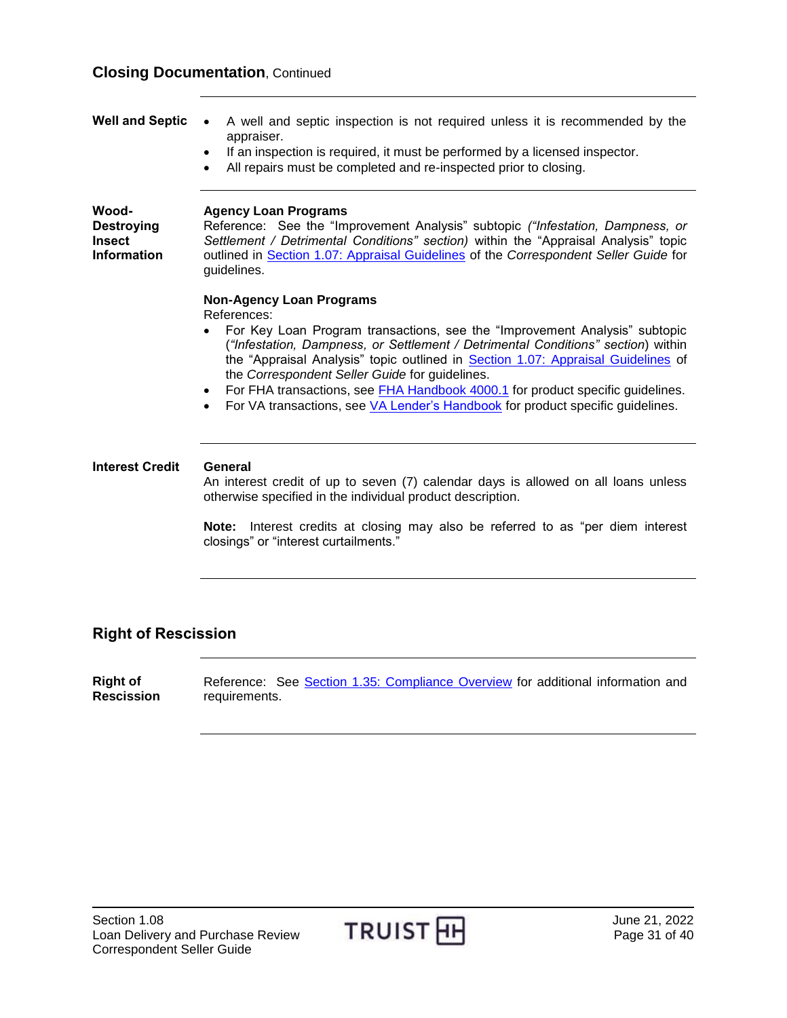<span id="page-30-1"></span><span id="page-30-0"></span>

| <b>Well and Septic</b>                                            | A well and septic inspection is not required unless it is recommended by the<br>$\bullet$<br>appraiser.<br>If an inspection is required, it must be performed by a licensed inspector.<br>$\bullet$<br>All repairs must be completed and re-inspected prior to closing.                                                                                                                                                                                                                                                                              |
|-------------------------------------------------------------------|------------------------------------------------------------------------------------------------------------------------------------------------------------------------------------------------------------------------------------------------------------------------------------------------------------------------------------------------------------------------------------------------------------------------------------------------------------------------------------------------------------------------------------------------------|
| Wood-<br><b>Destroying</b><br><b>Insect</b><br><b>Information</b> | <b>Agency Loan Programs</b><br>Reference: See the "Improvement Analysis" subtopic ("Infestation, Dampness, or<br>Settlement / Detrimental Conditions" section) within the "Appraisal Analysis" topic<br>outlined in Section 1.07: Appraisal Guidelines of the Correspondent Seller Guide for<br>guidelines.                                                                                                                                                                                                                                          |
|                                                                   | <b>Non-Agency Loan Programs</b><br>References:<br>For Key Loan Program transactions, see the "Improvement Analysis" subtopic<br>("Infestation, Dampness, or Settlement / Detrimental Conditions" section) within<br>the "Appraisal Analysis" topic outlined in Section 1.07: Appraisal Guidelines of<br>the Correspondent Seller Guide for guidelines.<br>For FHA transactions, see FHA Handbook 4000.1 for product specific guidelines.<br>$\bullet$<br>For VA transactions, see VA Lender's Handbook for product specific quidelines.<br>$\bullet$ |
| <b>Interest Credit</b>                                            | General<br>An interest credit of up to seven (7) calendar days is allowed on all loans unless<br>otherwise specified in the individual product description.<br>Interest credits at closing may also be referred to as "per diem interest<br>Note:<br>closings" or "interest curtailments."                                                                                                                                                                                                                                                           |
|                                                                   |                                                                                                                                                                                                                                                                                                                                                                                                                                                                                                                                                      |

## <span id="page-30-3"></span><span id="page-30-2"></span>**Right of Rescission**

**Right of Rescission** Reference: See [Section 1.35: Compliance Overview](https://www.truistsellerguide.com/manual/cor/general/1.35Compliance.pdf) for additional information and requirements.

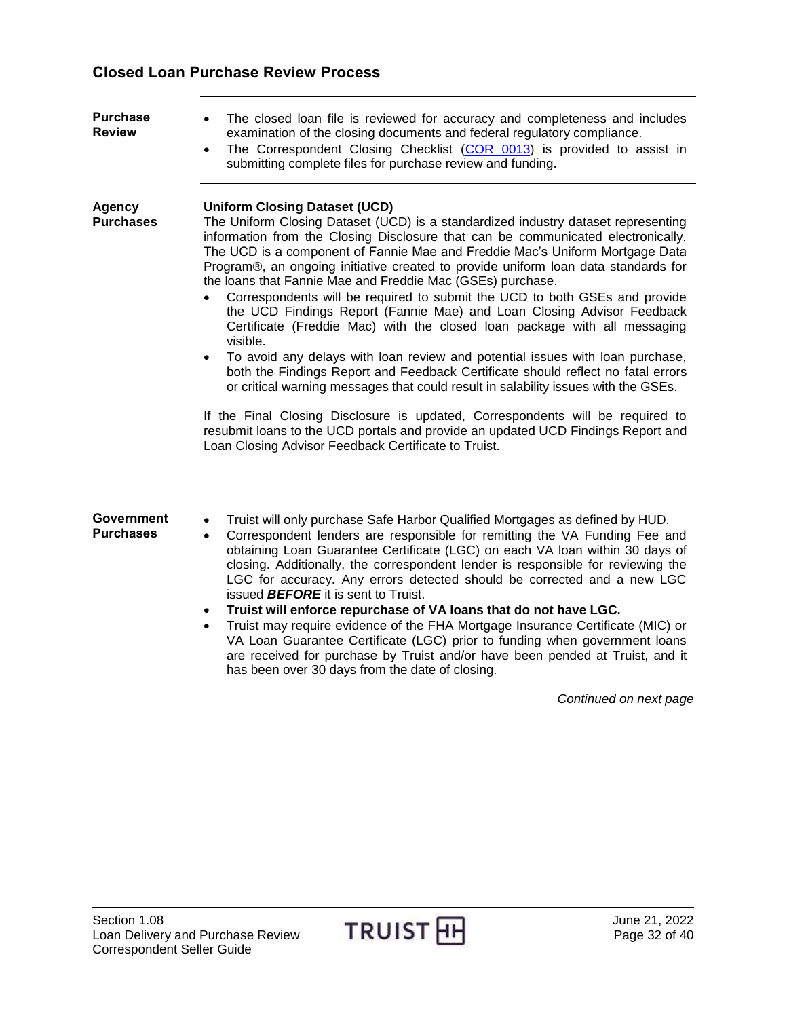## <span id="page-31-0"></span>**Closed Loan Purchase Review Process**

<span id="page-31-3"></span><span id="page-31-2"></span><span id="page-31-1"></span>

| <b>Purchase</b><br><b>Review</b>      | The closed loan file is reviewed for accuracy and completeness and includes<br>$\bullet$<br>examination of the closing documents and federal regulatory compliance.<br>The Correspondent Closing Checklist (COR 0013) is provided to assist in<br>$\bullet$<br>submitting complete files for purchase review and funding.                                                                                                                                                                                                                                                                                                                                                                                                                                                                                                                                                                                                                                                                                                                                                                                                                                                                                             |  |
|---------------------------------------|-----------------------------------------------------------------------------------------------------------------------------------------------------------------------------------------------------------------------------------------------------------------------------------------------------------------------------------------------------------------------------------------------------------------------------------------------------------------------------------------------------------------------------------------------------------------------------------------------------------------------------------------------------------------------------------------------------------------------------------------------------------------------------------------------------------------------------------------------------------------------------------------------------------------------------------------------------------------------------------------------------------------------------------------------------------------------------------------------------------------------------------------------------------------------------------------------------------------------|--|
| <b>Agency</b><br><b>Purchases</b>     | <b>Uniform Closing Dataset (UCD)</b><br>The Uniform Closing Dataset (UCD) is a standardized industry dataset representing<br>information from the Closing Disclosure that can be communicated electronically.<br>The UCD is a component of Fannie Mae and Freddie Mac's Uniform Mortgage Data<br>Program®, an ongoing initiative created to provide uniform loan data standards for<br>the loans that Fannie Mae and Freddie Mac (GSEs) purchase.<br>Correspondents will be required to submit the UCD to both GSEs and provide<br>$\bullet$<br>the UCD Findings Report (Fannie Mae) and Loan Closing Advisor Feedback<br>Certificate (Freddie Mac) with the closed loan package with all messaging<br>visible.<br>To avoid any delays with loan review and potential issues with loan purchase,<br>$\bullet$<br>both the Findings Report and Feedback Certificate should reflect no fatal errors<br>or critical warning messages that could result in salability issues with the GSEs.<br>If the Final Closing Disclosure is updated, Correspondents will be required to<br>resubmit loans to the UCD portals and provide an updated UCD Findings Report and<br>Loan Closing Advisor Feedback Certificate to Truist. |  |
| <b>Government</b><br><b>Purchases</b> | Truist will only purchase Safe Harbor Qualified Mortgages as defined by HUD.<br>$\bullet$<br>Correspondent lenders are responsible for remitting the VA Funding Fee and<br>$\bullet$<br>obtaining Loan Guarantee Certificate (LGC) on each VA loan within 30 days of<br>closing. Additionally, the correspondent lender is responsible for reviewing the<br>LGC for accuracy. Any errors detected should be corrected and a new LGC<br>issued <b>BEFORE</b> it is sent to Truist.<br>Truist will enforce repurchase of VA loans that do not have LGC.<br>Truist may require evidence of the FHA Mortgage Insurance Certificate (MIC) or<br>$\bullet$<br>VA Loan Guarantee Certificate (LGC) prior to funding when government loans<br>are received for purchase by Truist and/or have been pended at Truist, and it<br>has been over 30 days from the date of closing.                                                                                                                                                                                                                                                                                                                                                |  |
|                                       | Continued on next page                                                                                                                                                                                                                                                                                                                                                                                                                                                                                                                                                                                                                                                                                                                                                                                                                                                                                                                                                                                                                                                                                                                                                                                                |  |

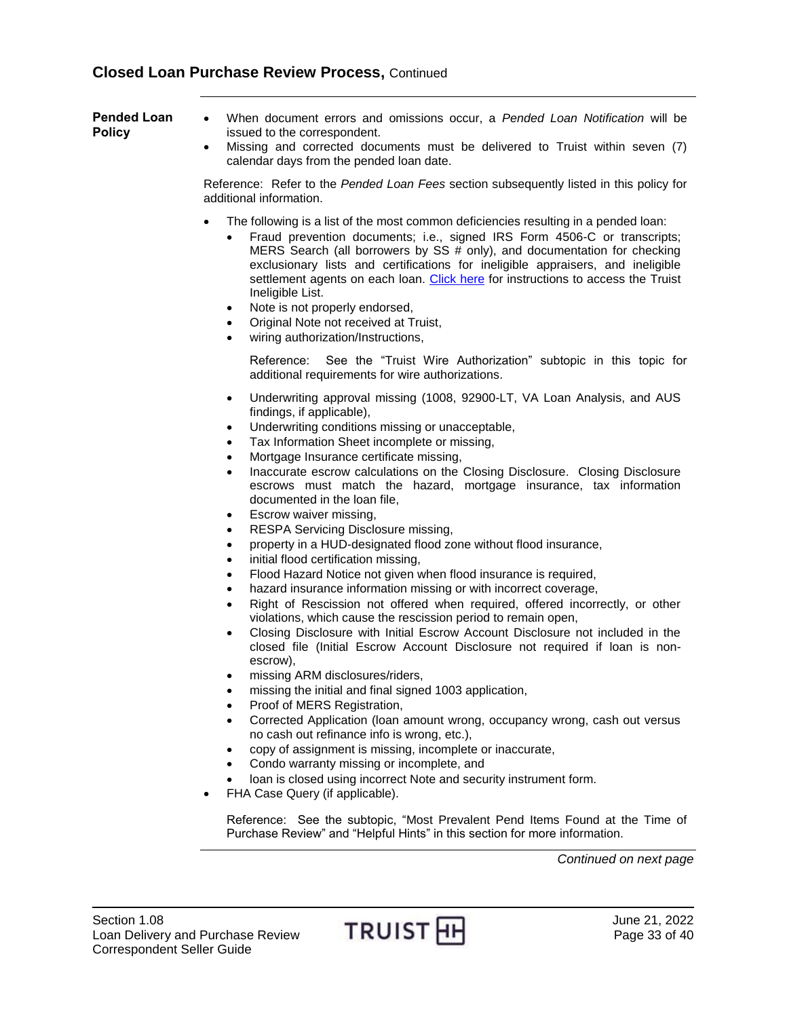<span id="page-32-0"></span>

| Pended Loan<br><b>Policy</b> | When document errors and omissions occur, a Pended Loan Notification will be<br>issued to the correspondent.<br>Missing and corrected documents must be delivered to Truist within seven (7)<br>$\bullet$                                                                                                                                                                                                                                                                                                                                                                                           |
|------------------------------|-----------------------------------------------------------------------------------------------------------------------------------------------------------------------------------------------------------------------------------------------------------------------------------------------------------------------------------------------------------------------------------------------------------------------------------------------------------------------------------------------------------------------------------------------------------------------------------------------------|
|                              | calendar days from the pended loan date.<br>Reference: Refer to the Pended Loan Fees section subsequently listed in this policy for<br>additional information.                                                                                                                                                                                                                                                                                                                                                                                                                                      |
|                              |                                                                                                                                                                                                                                                                                                                                                                                                                                                                                                                                                                                                     |
|                              | The following is a list of the most common deficiencies resulting in a pended loan:<br>$\bullet$<br>Fraud prevention documents; i.e., signed IRS Form 4506-C or transcripts;<br>MERS Search (all borrowers by SS # only), and documentation for checking<br>exclusionary lists and certifications for ineligible appraisers, and ineligible<br>settlement agents on each loan. Click here for instructions to access the Truist<br>Ineligible List.<br>Note is not properly endorsed,<br>$\bullet$<br>Original Note not received at Truist,<br>٠<br>wiring authorization/Instructions,<br>$\bullet$ |
|                              | Reference:<br>See the "Truist Wire Authorization" subtopic in this topic for<br>additional requirements for wire authorizations.                                                                                                                                                                                                                                                                                                                                                                                                                                                                    |
|                              | Underwriting approval missing (1008, 92900-LT, VA Loan Analysis, and AUS<br>$\bullet$<br>findings, if applicable),<br>Underwriting conditions missing or unacceptable,<br>٠<br>Tax Information Sheet incomplete or missing,<br>Mortgage Insurance certificate missing,<br>$\bullet$<br>Inaccurate escrow calculations on the Closing Disclosure. Closing Disclosure<br>$\bullet$<br>escrows must match the hazard, mortgage insurance, tax information<br>documented in the loan file,                                                                                                              |
|                              | Escrow waiver missing,<br>$\bullet$<br>RESPA Servicing Disclosure missing,<br>$\bullet$<br>property in a HUD-designated flood zone without flood insurance,<br>٠                                                                                                                                                                                                                                                                                                                                                                                                                                    |
|                              | initial flood certification missing,<br>٠                                                                                                                                                                                                                                                                                                                                                                                                                                                                                                                                                           |
|                              | Flood Hazard Notice not given when flood insurance is required,<br>$\bullet$<br>hazard insurance information missing or with incorrect coverage,                                                                                                                                                                                                                                                                                                                                                                                                                                                    |
|                              | Right of Rescission not offered when required, offered incorrectly, or other<br>violations, which cause the rescission period to remain open,                                                                                                                                                                                                                                                                                                                                                                                                                                                       |
|                              | Closing Disclosure with Initial Escrow Account Disclosure not included in the<br>$\bullet$<br>closed file (Initial Escrow Account Disclosure not required if loan is non-<br>escrow),                                                                                                                                                                                                                                                                                                                                                                                                               |
|                              | missing ARM disclosures/riders,                                                                                                                                                                                                                                                                                                                                                                                                                                                                                                                                                                     |
|                              | missing the initial and final signed 1003 application,<br>٠                                                                                                                                                                                                                                                                                                                                                                                                                                                                                                                                         |
|                              | Proof of MERS Registration,                                                                                                                                                                                                                                                                                                                                                                                                                                                                                                                                                                         |
|                              | Corrected Application (loan amount wrong, occupancy wrong, cash out versus<br>no cash out refinance info is wrong, etc.),                                                                                                                                                                                                                                                                                                                                                                                                                                                                           |
|                              | copy of assignment is missing, incomplete or inaccurate,                                                                                                                                                                                                                                                                                                                                                                                                                                                                                                                                            |
|                              | Condo warranty missing or incomplete, and<br>loan is closed using incorrect Note and security instrument form.                                                                                                                                                                                                                                                                                                                                                                                                                                                                                      |
|                              | FHA Case Query (if applicable).                                                                                                                                                                                                                                                                                                                                                                                                                                                                                                                                                                     |
|                              | Reference: See the subtopic, "Most Prevalent Pend Items Found at the Time of<br>Purchase Review" and "Helpful Hints" in this section for more information.                                                                                                                                                                                                                                                                                                                                                                                                                                          |
|                              | Continued on next page                                                                                                                                                                                                                                                                                                                                                                                                                                                                                                                                                                              |
|                              |                                                                                                                                                                                                                                                                                                                                                                                                                                                                                                                                                                                                     |

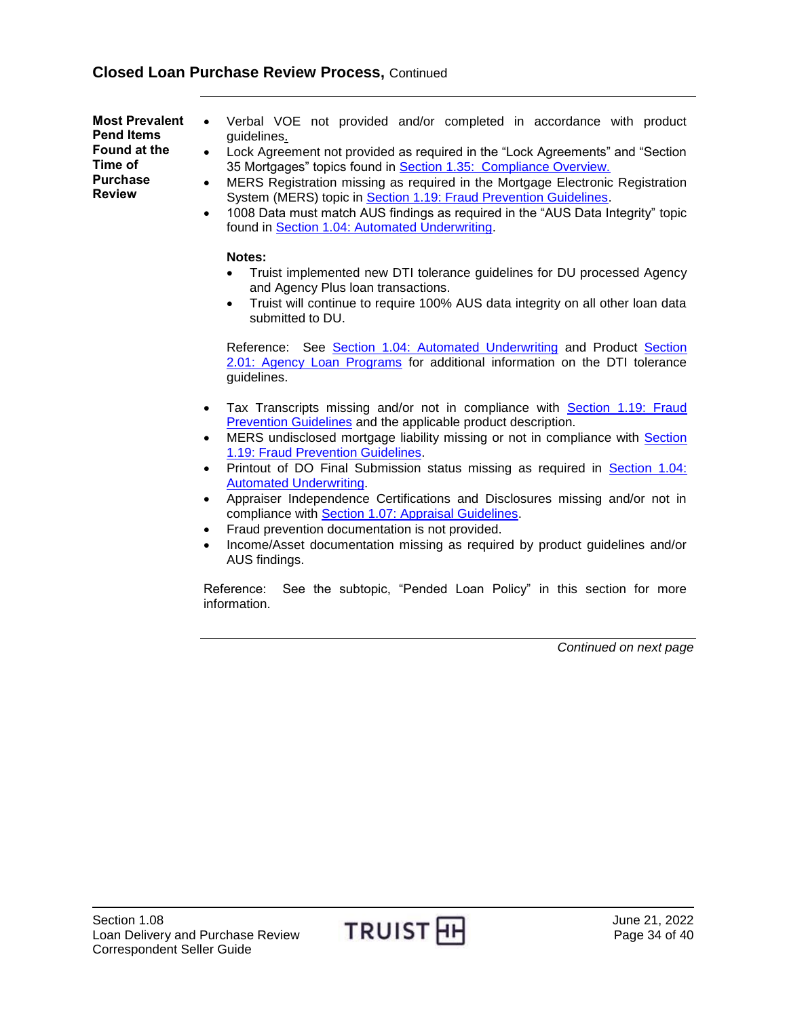<span id="page-33-0"></span>**Most Prevalent Pend Items Found at the Time of Purchase Review**

- Verbal VOE not provided and/or completed in accordance with product guidelines.
- Lock Agreement not provided as required in the "Lock Agreements" and "Section 35 Mortgages" topics found in [Section 1.35: Compliance Overview.](https://www.truistsellerguide.com/manual/cor/general/1.35compliance.pdf)
- MERS Registration missing as required in the Mortgage Electronic Registration System (MERS) topic in [Section 1.19: Fraud Prevention Guidelines.](https://www.truistsellerguide.com/manual/cor/general/1.19FraudPreventionGuidelines.pdf)
- 1008 Data must match AUS findings as required in the "AUS Data Integrity" topic found in [Section 1.04: Automated Underwriting.](https://www.truistsellerguide.com/manual/cor/general/1.04AUS.pdf)

#### **Notes:**

- Truist implemented new DTI tolerance guidelines for DU processed Agency and Agency Plus loan transactions.
- Truist will continue to require 100% AUS data integrity on all other loan data submitted to DU.

Reference: See [Section 1.04: Automated Underwriting](https://www.truistsellerguide.com/manual/cor/general/1.04AUS.pdf) and Product [Section](https://www.truistsellerguide.com/manual/cor/products/CAgency.pdf)  [2.01: Agency Loan Programs](https://www.truistsellerguide.com/manual/cor/products/CAgency.pdf) for additional information on the DTI tolerance guidelines.

- Tax Transcripts missing and/or not in compliance with [Section 1.19: Fraud](https://www.truistsellerguide.com/manual/cor/general/1.19FraudPreventionGuidelines.pdf)  [Prevention Guidelines](https://www.truistsellerguide.com/manual/cor/general/1.19FraudPreventionGuidelines.pdf) and the applicable product description.
- MERS undisclosed mortgage liability missing or not in compliance with [Section](https://www.truistsellerguide.com/manual/cor/general/1.19FraudPreventionGuidelines.pdf)  [1.19: Fraud Prevention Guidelines.](https://www.truistsellerguide.com/manual/cor/general/1.19FraudPreventionGuidelines.pdf)
- Printout of DO Final Submission status missing as required in **Section 1.04:** [Automated Underwriting.](https://www.truistsellerguide.com/manual/cor/general/1.04AUS.pdf)
- Appraiser Independence Certifications and Disclosures missing and/or not in compliance with Section 1.07: [Appraisal Guidelines.](https://www.truistsellerguide.com/manual/cor/general/1.07Appraisals.pdf)
- Fraud prevention documentation is not provided.
- Income/Asset documentation missing as required by product guidelines and/or AUS findings.

Reference: See the subtopic, "Pended Loan Policy" in this section for more information.

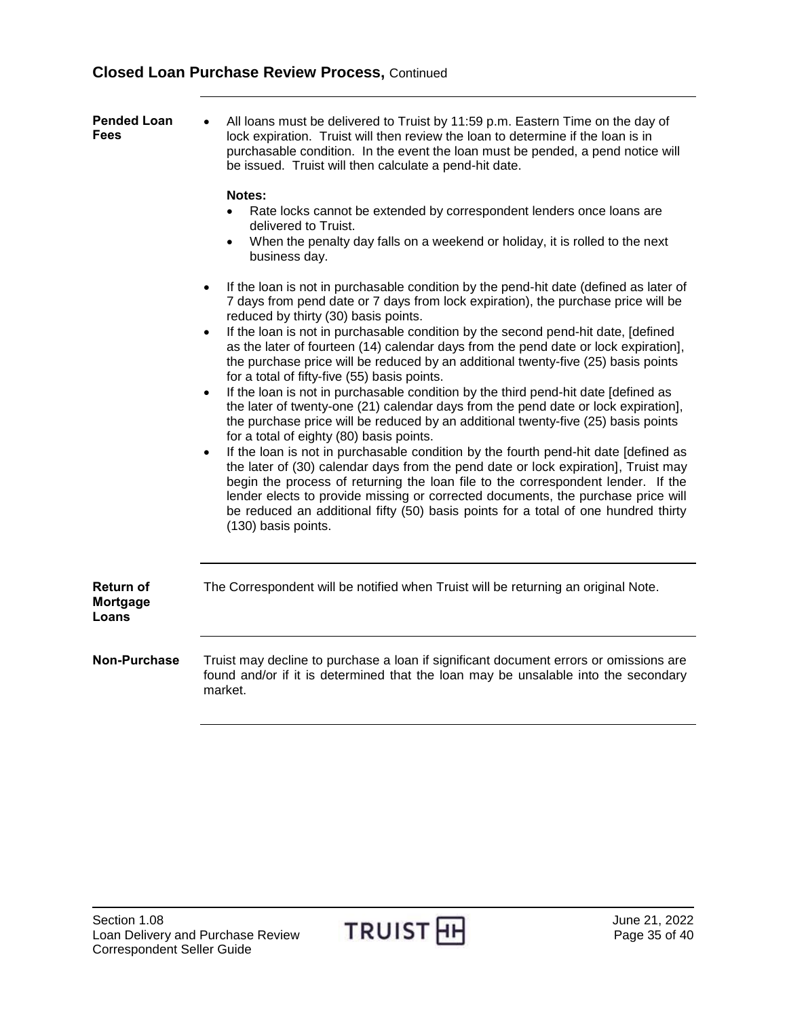<span id="page-34-0"></span>

| <b>Pended Loan</b><br><b>Fees</b>     | All loans must be delivered to Truist by 11:59 p.m. Eastern Time on the day of<br>lock expiration. Truist will then review the loan to determine if the loan is in<br>purchasable condition. In the event the loan must be pended, a pend notice will<br>be issued. Truist will then calculate a pend-hit date.<br>Notes:<br>Rate locks cannot be extended by correspondent lenders once loans are<br>delivered to Truist.<br>When the penalty day falls on a weekend or holiday, it is rolled to the next<br>$\bullet$<br>business day.                                                                                                                                                                                                                                                                                                                                                                                                                                                                                                                                                                                                                                                                                                                                                                                                                  |
|---------------------------------------|-----------------------------------------------------------------------------------------------------------------------------------------------------------------------------------------------------------------------------------------------------------------------------------------------------------------------------------------------------------------------------------------------------------------------------------------------------------------------------------------------------------------------------------------------------------------------------------------------------------------------------------------------------------------------------------------------------------------------------------------------------------------------------------------------------------------------------------------------------------------------------------------------------------------------------------------------------------------------------------------------------------------------------------------------------------------------------------------------------------------------------------------------------------------------------------------------------------------------------------------------------------------------------------------------------------------------------------------------------------|
|                                       | If the loan is not in purchasable condition by the pend-hit date (defined as later of<br>7 days from pend date or 7 days from lock expiration), the purchase price will be<br>reduced by thirty (30) basis points.<br>If the loan is not in purchasable condition by the second pend-hit date, [defined<br>$\bullet$<br>as the later of fourteen (14) calendar days from the pend date or lock expiration],<br>the purchase price will be reduced by an additional twenty-five (25) basis points<br>for a total of fifty-five (55) basis points.<br>If the loan is not in purchasable condition by the third pend-hit date [defined as<br>$\bullet$<br>the later of twenty-one (21) calendar days from the pend date or lock expiration],<br>the purchase price will be reduced by an additional twenty-five (25) basis points<br>for a total of eighty (80) basis points.<br>If the loan is not in purchasable condition by the fourth pend-hit date [defined as<br>$\bullet$<br>the later of (30) calendar days from the pend date or lock expiration], Truist may<br>begin the process of returning the loan file to the correspondent lender. If the<br>lender elects to provide missing or corrected documents, the purchase price will<br>be reduced an additional fifty (50) basis points for a total of one hundred thirty<br>(130) basis points. |
| <b>Return of</b><br>Mortgage<br>Loans | The Correspondent will be notified when Truist will be returning an original Note.                                                                                                                                                                                                                                                                                                                                                                                                                                                                                                                                                                                                                                                                                                                                                                                                                                                                                                                                                                                                                                                                                                                                                                                                                                                                        |
| <b>Non-Purchase</b>                   | Truist may decline to purchase a loan if significant document errors or omissions are<br>found and/or if it is determined that the loan may be unsalable into the secondary<br>market.                                                                                                                                                                                                                                                                                                                                                                                                                                                                                                                                                                                                                                                                                                                                                                                                                                                                                                                                                                                                                                                                                                                                                                    |

<span id="page-34-2"></span><span id="page-34-1"></span>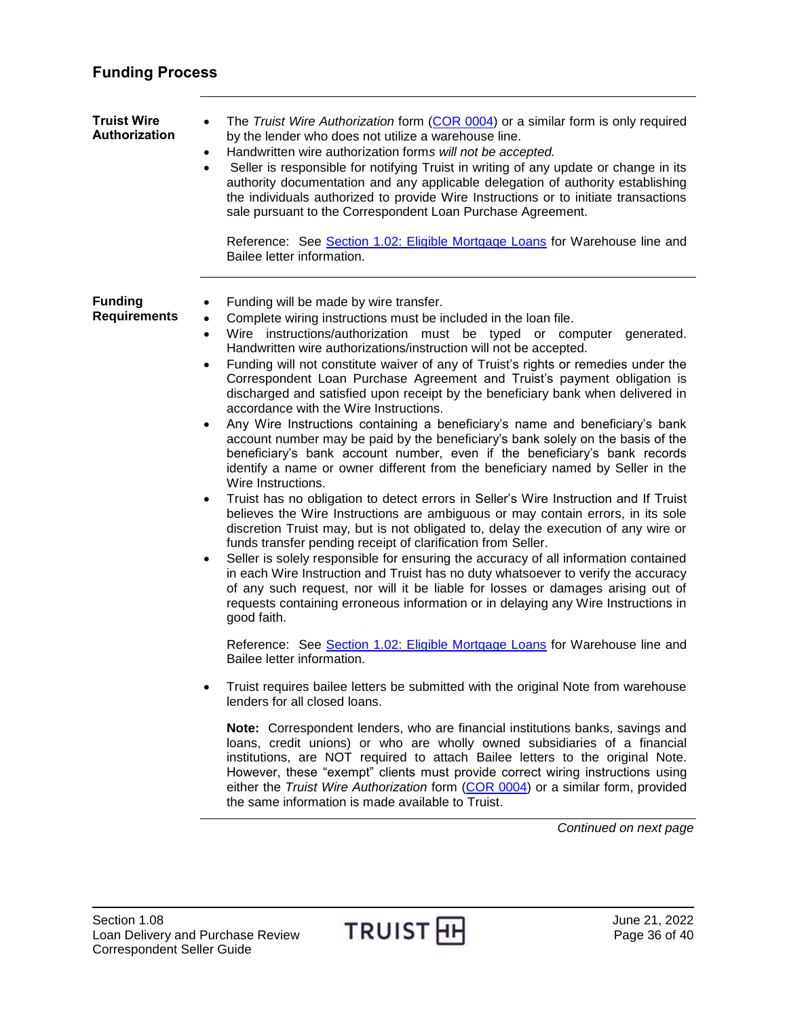# <span id="page-35-0"></span>**Funding Process**

<span id="page-35-2"></span><span id="page-35-1"></span>

| <b>Truist Wire</b><br>Authorization   | The Truist Wire Authorization form (COR 0004) or a similar form is only required<br>by the lender who does not utilize a warehouse line.<br>Handwritten wire authorization forms will not be accepted.<br>$\bullet$<br>Seller is responsible for notifying Truist in writing of any update or change in its<br>$\bullet$<br>authority documentation and any applicable delegation of authority establishing<br>the individuals authorized to provide Wire Instructions or to initiate transactions<br>sale pursuant to the Correspondent Loan Purchase Agreement.<br>Reference: See Section 1.02: Eligible Mortgage Loans for Warehouse line and<br>Bailee letter information.                                                                                                                                                                                                                                                                                                                                                                                                                                                                                                                                                                                                                                                                                                                                                                                                                                                                                                                                                                                                                                                                                                                                                                                                                                                                                                                                                                                                                                                                                                                                                                                                                                                                                                        |
|---------------------------------------|---------------------------------------------------------------------------------------------------------------------------------------------------------------------------------------------------------------------------------------------------------------------------------------------------------------------------------------------------------------------------------------------------------------------------------------------------------------------------------------------------------------------------------------------------------------------------------------------------------------------------------------------------------------------------------------------------------------------------------------------------------------------------------------------------------------------------------------------------------------------------------------------------------------------------------------------------------------------------------------------------------------------------------------------------------------------------------------------------------------------------------------------------------------------------------------------------------------------------------------------------------------------------------------------------------------------------------------------------------------------------------------------------------------------------------------------------------------------------------------------------------------------------------------------------------------------------------------------------------------------------------------------------------------------------------------------------------------------------------------------------------------------------------------------------------------------------------------------------------------------------------------------------------------------------------------------------------------------------------------------------------------------------------------------------------------------------------------------------------------------------------------------------------------------------------------------------------------------------------------------------------------------------------------------------------------------------------------------------------------------------------------|
| <b>Funding</b><br><b>Requirements</b> | Funding will be made by wire transfer.<br>Complete wiring instructions must be included in the loan file.<br>$\bullet$<br>Wire instructions/authorization must be typed or computer generated.<br>٠<br>Handwritten wire authorizations/instruction will not be accepted.<br>Funding will not constitute waiver of any of Truist's rights or remedies under the<br>$\bullet$<br>Correspondent Loan Purchase Agreement and Truist's payment obligation is<br>discharged and satisfied upon receipt by the beneficiary bank when delivered in<br>accordance with the Wire Instructions.<br>Any Wire Instructions containing a beneficiary's name and beneficiary's bank<br>٠<br>account number may be paid by the beneficiary's bank solely on the basis of the<br>beneficiary's bank account number, even if the beneficiary's bank records<br>identify a name or owner different from the beneficiary named by Seller in the<br>Wire Instructions.<br>Truist has no obligation to detect errors in Seller's Wire Instruction and If Truist<br>$\bullet$<br>believes the Wire Instructions are ambiguous or may contain errors, in its sole<br>discretion Truist may, but is not obligated to, delay the execution of any wire or<br>funds transfer pending receipt of clarification from Seller.<br>Seller is solely responsible for ensuring the accuracy of all information contained<br>٠<br>in each Wire Instruction and Truist has no duty whatsoever to verify the accuracy<br>of any such request, nor will it be liable for losses or damages arising out of<br>requests containing erroneous information or in delaying any Wire Instructions in<br>good faith.<br>Reference: See Section 1.02: Eligible Mortgage Loans for Warehouse line and<br>Bailee letter information.<br>Truist requires bailee letters be submitted with the original Note from warehouse<br>lenders for all closed loans.<br>Note: Correspondent lenders, who are financial institutions banks, savings and<br>loans, credit unions) or who are wholly owned subsidiaries of a financial<br>institutions, are NOT required to attach Bailee letters to the original Note.<br>However, these "exempt" clients must provide correct wiring instructions using<br>either the Truist Wire Authorization form (COR 0004) or a similar form, provided<br>the same information is made available to Truist. |
|                                       | Continued on next page                                                                                                                                                                                                                                                                                                                                                                                                                                                                                                                                                                                                                                                                                                                                                                                                                                                                                                                                                                                                                                                                                                                                                                                                                                                                                                                                                                                                                                                                                                                                                                                                                                                                                                                                                                                                                                                                                                                                                                                                                                                                                                                                                                                                                                                                                                                                                                |

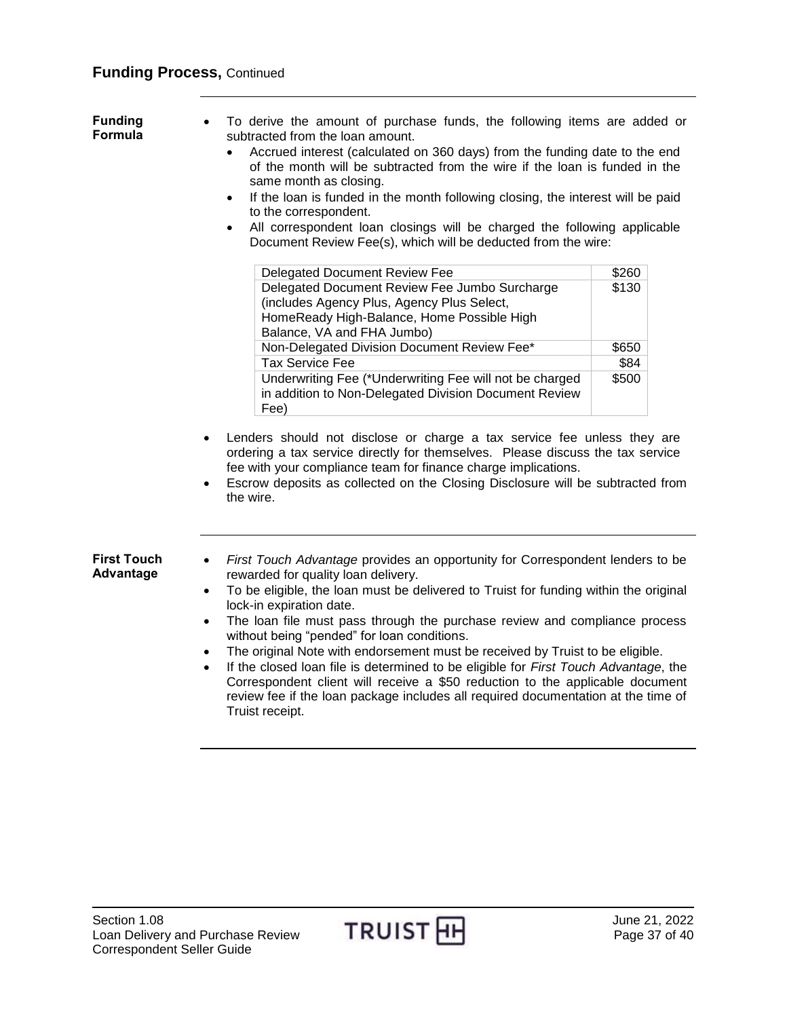## **Funding Process,** Continued

<span id="page-36-0"></span>

| <b>Funding</b><br>Formula       | To derive the amount of purchase funds, the following items are added or<br>subtracted from the loan amount.<br>Accrued interest (calculated on 360 days) from the funding date to the end<br>of the month will be subtracted from the wire if the loan is funded in the<br>same month as closing.<br>If the loan is funded in the month following closing, the interest will be paid<br>$\bullet$<br>to the correspondent.<br>All correspondent loan closings will be charged the following applicable<br>$\bullet$<br>Document Review Fee(s), which will be deducted from the wire:                                                                              |       |  |  |
|---------------------------------|--------------------------------------------------------------------------------------------------------------------------------------------------------------------------------------------------------------------------------------------------------------------------------------------------------------------------------------------------------------------------------------------------------------------------------------------------------------------------------------------------------------------------------------------------------------------------------------------------------------------------------------------------------------------|-------|--|--|
|                                 | <b>Delegated Document Review Fee</b>                                                                                                                                                                                                                                                                                                                                                                                                                                                                                                                                                                                                                               | \$260 |  |  |
|                                 | Delegated Document Review Fee Jumbo Surcharge<br>(includes Agency Plus, Agency Plus Select,<br>HomeReady High-Balance, Home Possible High<br>Balance, VA and FHA Jumbo)                                                                                                                                                                                                                                                                                                                                                                                                                                                                                            | \$130 |  |  |
|                                 | Non-Delegated Division Document Review Fee*                                                                                                                                                                                                                                                                                                                                                                                                                                                                                                                                                                                                                        | \$650 |  |  |
|                                 | <b>Tax Service Fee</b>                                                                                                                                                                                                                                                                                                                                                                                                                                                                                                                                                                                                                                             | \$84  |  |  |
|                                 | Underwriting Fee (*Underwriting Fee will not be charged<br>in addition to Non-Delegated Division Document Review<br>Fee)                                                                                                                                                                                                                                                                                                                                                                                                                                                                                                                                           | \$500 |  |  |
|                                 | Lenders should not disclose or charge a tax service fee unless they are<br>$\bullet$<br>ordering a tax service directly for themselves. Please discuss the tax service<br>fee with your compliance team for finance charge implications.<br>Escrow deposits as collected on the Closing Disclosure will be subtracted from<br>$\bullet$<br>the wire.                                                                                                                                                                                                                                                                                                               |       |  |  |
| <b>First Touch</b><br>Advantage | First Touch Advantage provides an opportunity for Correspondent lenders to be<br>$\bullet$<br>rewarded for quality loan delivery.                                                                                                                                                                                                                                                                                                                                                                                                                                                                                                                                  |       |  |  |
|                                 | To be eligible, the loan must be delivered to Truist for funding within the original<br>$\bullet$<br>lock-in expiration date.<br>The loan file must pass through the purchase review and compliance process<br>$\bullet$<br>without being "pended" for loan conditions.<br>The original Note with endorsement must be received by Truist to be eligible.<br>$\bullet$<br>If the closed loan file is determined to be eligible for First Touch Advantage, the<br>$\bullet$<br>Correspondent client will receive a \$50 reduction to the applicable document<br>review fee if the loan package includes all required documentation at the time of<br>Truist receipt. |       |  |  |

<span id="page-36-1"></span>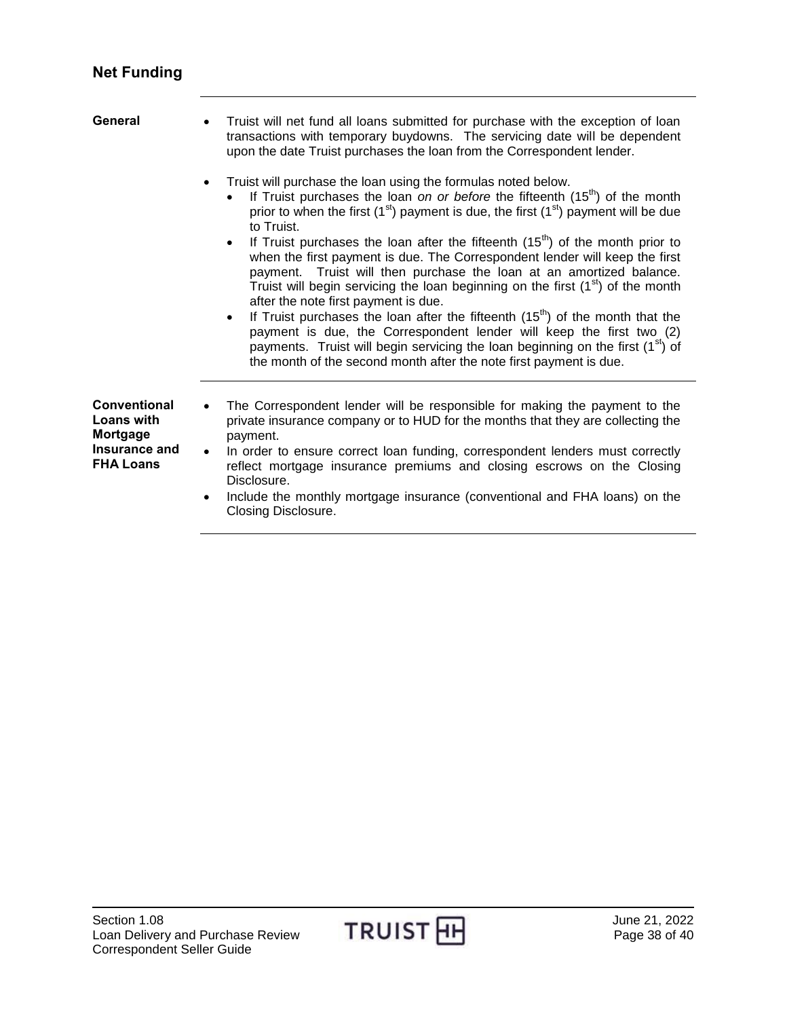# <span id="page-37-0"></span>**Net Funding**

<span id="page-37-2"></span><span id="page-37-1"></span>

| General                                                                                          | Truist will net fund all loans submitted for purchase with the exception of loan<br>transactions with temporary buydowns. The servicing date will be dependent<br>upon the date Truist purchases the loan from the Correspondent lender.                                                                                                                                                                                                                                                                                                                                                                                                                                                                                                                                                                                                                                                                                                                                              |
|--------------------------------------------------------------------------------------------------|---------------------------------------------------------------------------------------------------------------------------------------------------------------------------------------------------------------------------------------------------------------------------------------------------------------------------------------------------------------------------------------------------------------------------------------------------------------------------------------------------------------------------------------------------------------------------------------------------------------------------------------------------------------------------------------------------------------------------------------------------------------------------------------------------------------------------------------------------------------------------------------------------------------------------------------------------------------------------------------|
|                                                                                                  | Truist will purchase the loan using the formulas noted below.<br>$\bullet$<br>If Truist purchases the loan on or before the fifteenth $(15th)$ of the month<br>prior to when the first $(1st)$ payment is due, the first $(1st)$ payment will be due<br>to Truist.<br>If Truist purchases the loan after the fifteenth $(15th)$ of the month prior to<br>when the first payment is due. The Correspondent lender will keep the first<br>payment. Truist will then purchase the loan at an amortized balance.<br>Truist will begin servicing the loan beginning on the first $(1st)$ of the month<br>after the note first payment is due.<br>If Truist purchases the loan after the fifteenth $(15th)$ of the month that the<br>$\bullet$<br>payment is due, the Correspondent lender will keep the first two (2)<br>payments. Truist will begin servicing the loan beginning on the first (1 <sup>st</sup> ) of<br>the month of the second month after the note first payment is due. |
| <b>Conventional</b><br><b>Loans with</b><br><b>Mortgage</b><br>Insurance and<br><b>FHA Loans</b> | The Correspondent lender will be responsible for making the payment to the<br>$\bullet$<br>private insurance company or to HUD for the months that they are collecting the<br>payment.<br>In order to ensure correct loan funding, correspondent lenders must correctly<br>$\bullet$<br>reflect mortgage insurance premiums and closing escrows on the Closing<br>Disclosure.<br>Include the monthly mortgage insurance (conventional and FHA loans) on the<br>$\bullet$<br>Closing Disclosure.                                                                                                                                                                                                                                                                                                                                                                                                                                                                                       |

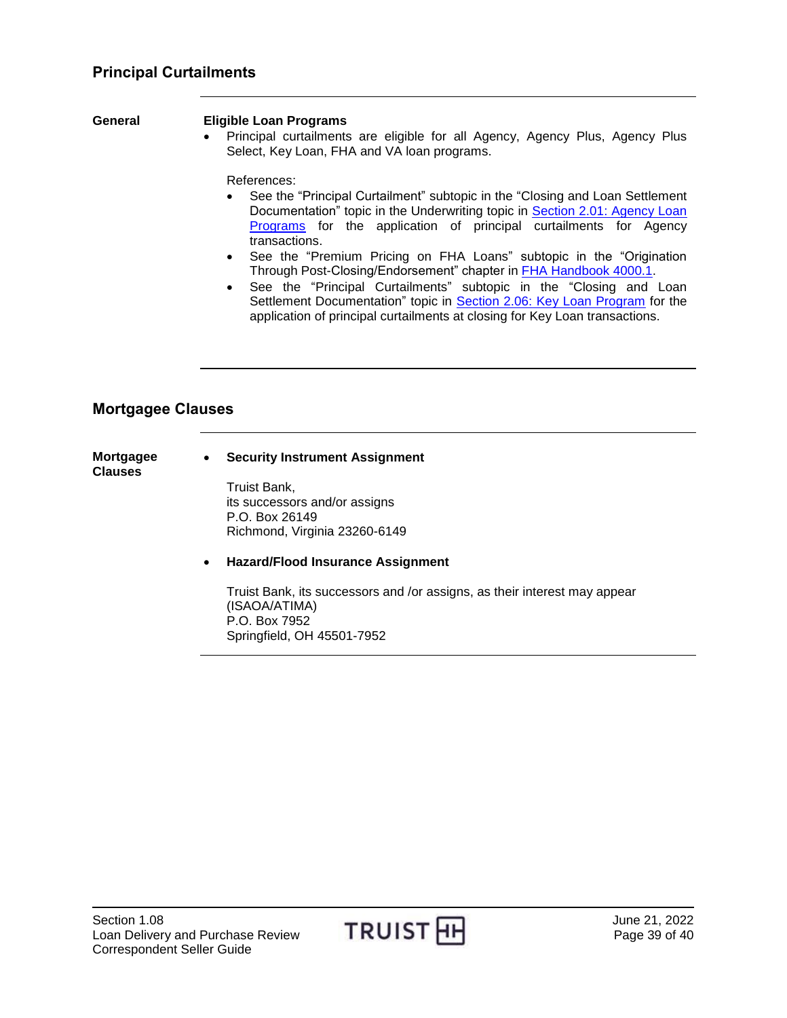#### <span id="page-38-0"></span>**General Eligible Loan Programs**

 Principal curtailments are eligible for all Agency, Agency Plus, Agency Plus Select, Key Loan, FHA and VA loan programs.

References:

- See the "Principal Curtailment" subtopic in the "Closing and Loan Settlement Documentation" topic in the Underwriting topic in **Section 2.01: Agency Loan** [Programs](https://www.truistsellerguide.com/manual/cor/products/CAgency.pdf) for the application of principal curtailments for Agency transactions.
- See the "Premium Pricing on FHA Loans" subtopic in the "Origination Through Post-Closing/Endorsement" chapter in [FHA Handbook 4000.1.](http://portal.hud.gov/hudportal/documents/huddoc?id=40001HSGH.pdf)
- See the "Principal Curtailments" subtopic in the "Closing and Loan Settlement Documentation" topic in [Section 2.06: Key Loan Program](https://www.truistsellerguide.com/manual/cor/products/CKey.pdf) for the application of principal curtailments at closing for Key Loan transactions.

## <span id="page-38-1"></span>**Mortgagee Clauses**

| Mortgagee<br>Clauses | <b>Security Instrument Assignment</b><br>$\bullet$                                         |
|----------------------|--------------------------------------------------------------------------------------------|
|                      | Truist Bank,                                                                               |
|                      | its successors and/or assigns                                                              |
|                      | P.O. Box 26149                                                                             |
|                      | Richmond, Virginia 23260-6149                                                              |
|                      |                                                                                            |
|                      | <b>Hazard/Flood Insurance Assignment</b><br>$\bullet$                                      |
|                      | Truist Bank, its successors and /or assigns, as their interest may appear<br>(ISAOA/ATIMA) |
|                      | P.O. Box 7952                                                                              |

Springfield, OH 45501-7952